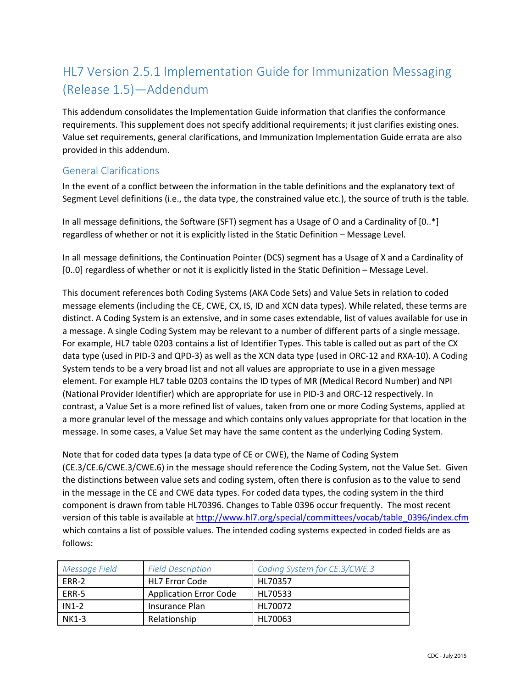# HL7 Version 2.5.1 Implementation Guide for Immunization Messaging (Release 1.5)—Addendum

This addendum consolidates the Implementation Guide information that clarifies the conformance requirements. This supplement does not specify additional requirements; it just clarifies existing ones. Value set requirements, general clarifications, and Immunization Implementation Guide errata are also provided in this addendum.

### General Clarifications

In the event of a conflict between the information in the table definitions and the explanatory text of Segment Level definitions (i.e., the data type, the constrained value etc.), the source of truth is the table.

In all message definitions, the Software (SFT) segment has a Usage of O and a Cardinality of [0..\*] regardless of whether or not it is explicitly listed in the Static Definition – Message Level.

In all message definitions, the Continuation Pointer (DCS) segment has a Usage of X and a Cardinality of [0..0] regardless of whether or not it is explicitly listed in the Static Definition – Message Level.

This document references both Coding Systems (AKA Code Sets) and Value Sets in relation to coded message elements (including the CE, CWE, CX, IS, ID and XCN data types). While related, these terms are distinct. A Coding System is an extensive, and in some cases extendable, list of values available for use in a message. A single Coding System may be relevant to a number of different parts of a single message. For example, HL7 table 0203 contains a list of Identifier Types. This table is called out as part of the CX data type (used in PID-3 and QPD-3) as well as the XCN data type (used in ORC-12 and RXA-10). A Coding System tends to be a very broad list and not all values are appropriate to use in a given message element. For example HL7 table 0203 contains the ID types of MR (Medical Record Number) and NPI (National Provider Identifier) which are appropriate for use in PID-3 and ORC-12 respectively. In contrast, a Value Set is a more refined list of values, taken from one or more Coding Systems, applied at a more granular level of the message and which contains only values appropriate for that location in the message. In some cases, a Value Set may have the same content as the underlying Coding System.

Note that for coded data types (a data type of CE or CWE), the Name of Coding System (CE.3/CE.6/CWE.3/CWE.6) in the message should reference the Coding System, not the Value Set. Given the distinctions between value sets and coding system, often there is confusion as to the value to send in the message in the CE and CWE data types. For coded data types, the coding system in the third component is drawn from table HL70396. Changes to Table 0396 occur frequently. The most recent version of this table is available a[t http://www.hl7.org/special/committees/vocab/table\\_0396/index.cfm](http://www.hl7.org/special/committees/vocab/table_0396/index.cfm) which contains a list of possible values. The intended coding systems expected in coded fields are as follows:

| Message Field | <b>Field Description</b>      | Coding System for CE.3/CWE.3 |
|---------------|-------------------------------|------------------------------|
| FRR-2         | <b>HL7 Error Code</b>         | HL70357                      |
| ERR-5         | <b>Application Error Code</b> | HL70533                      |
| $IN1-2$       | Insurance Plan                | HL70072                      |
| <b>NK1-3</b>  | Relationship                  | HL70063                      |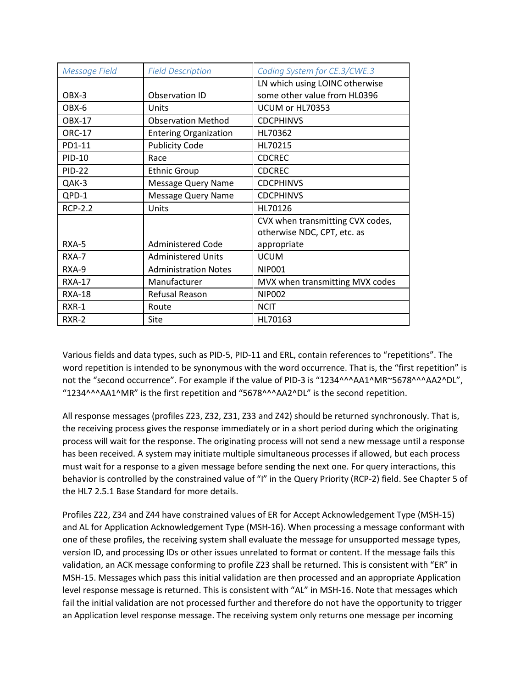| <b>Message Field</b> | <b>Field Description</b>     | Coding System for CE.3/CWE.3     |
|----------------------|------------------------------|----------------------------------|
|                      |                              | LN which using LOINC otherwise   |
| OBX-3                | <b>Observation ID</b>        | some other value from HL0396     |
| OBX-6                | Units                        | UCUM or HL70353                  |
| <b>OBX-17</b>        | <b>Observation Method</b>    | <b>CDCPHINVS</b>                 |
| <b>ORC-17</b>        | <b>Entering Organization</b> | HL70362                          |
| PD1-11               | <b>Publicity Code</b>        | HL70215                          |
| PID-10               | Race                         | <b>CDCREC</b>                    |
| <b>PID-22</b>        | <b>Ethnic Group</b>          | <b>CDCREC</b>                    |
| QAK-3                | <b>Message Query Name</b>    | <b>CDCPHINVS</b>                 |
| QPD-1                | Message Query Name           | <b>CDCPHINVS</b>                 |
| <b>RCP-2.2</b>       | Units                        | HL70126                          |
|                      |                              | CVX when transmitting CVX codes, |
|                      |                              | otherwise NDC, CPT, etc. as      |
| RXA-5                | <b>Administered Code</b>     | appropriate                      |
| RXA-7                | <b>Administered Units</b>    | <b>UCUM</b>                      |
| RXA-9                | <b>Administration Notes</b>  | <b>NIP001</b>                    |
| <b>RXA-17</b>        | Manufacturer                 | MVX when transmitting MVX codes  |
| <b>RXA-18</b>        | Refusal Reason               | <b>NIP002</b>                    |
| RXR-1                | Route                        | <b>NCIT</b>                      |
| RXR-2                | Site                         | HL70163                          |

Various fields and data types, such as PID-5, PID-11 and ERL, contain references to "repetitions". The word repetition is intended to be synonymous with the word occurrence. That is, the "first repetition" is not the "second occurrence". For example if the value of PID-3 is "1234^^^AA1^MR~5678^^^AA2^DL", "1234^^^AA1^MR" is the first repetition and "5678^^^AA2^DL" is the second repetition.

All response messages (profiles Z23, Z32, Z31, Z33 and Z42) should be returned synchronously. That is, the receiving process gives the response immediately or in a short period during which the originating process will wait for the response. The originating process will not send a new message until a response has been received. A system may initiate multiple simultaneous processes if allowed, but each process must wait for a response to a given message before sending the next one. For query interactions, this behavior is controlled by the constrained value of "I" in the Query Priority (RCP-2) field. See Chapter 5 of the HL7 2.5.1 Base Standard for more details.

Profiles Z22, Z34 and Z44 have constrained values of ER for Accept Acknowledgement Type (MSH-15) and AL for Application Acknowledgement Type (MSH-16). When processing a message conformant with one of these profiles, the receiving system shall evaluate the message for unsupported message types, version ID, and processing IDs or other issues unrelated to format or content. If the message fails this validation, an ACK message conforming to profile Z23 shall be returned. This is consistent with "ER" in MSH-15. Messages which pass this initial validation are then processed and an appropriate Application level response message is returned. This is consistent with "AL" in MSH-16. Note that messages which fail the initial validation are not processed further and therefore do not have the opportunity to trigger an Application level response message. The receiving system only returns one message per incoming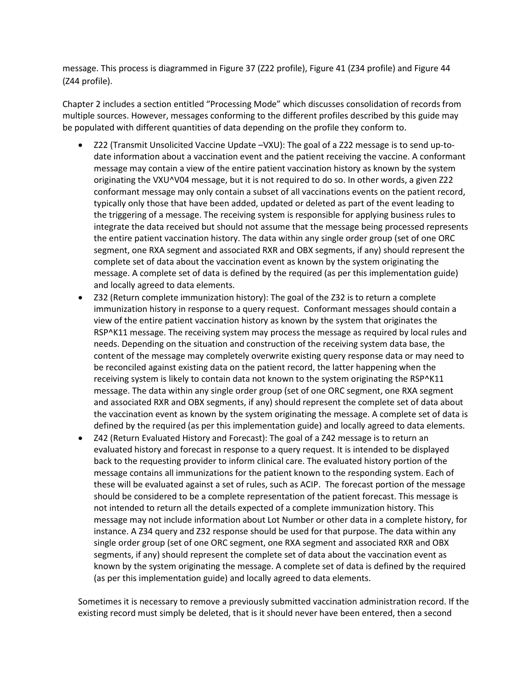message. This process is diagrammed in Figure 37 (Z22 profile), Figure 41 (Z34 profile) and Figure 44 (Z44 profile).

Chapter 2 includes a section entitled "Processing Mode" which discusses consolidation of records from multiple sources. However, messages conforming to the different profiles described by this guide may be populated with different quantities of data depending on the profile they conform to.

- Z22 (Transmit Unsolicited Vaccine Update –VXU): The goal of a Z22 message is to send up-todate information about a vaccination event and the patient receiving the vaccine. A conformant message may contain a view of the entire patient vaccination history as known by the system originating the VXU^V04 message, but it is not required to do so. In other words, a given Z22 conformant message may only contain a subset of all vaccinations events on the patient record, typically only those that have been added, updated or deleted as part of the event leading to the triggering of a message. The receiving system is responsible for applying business rules to integrate the data received but should not assume that the message being processed represents the entire patient vaccination history. The data within any single order group (set of one ORC segment, one RXA segment and associated RXR and OBX segments, if any) should represent the complete set of data about the vaccination event as known by the system originating the message. A complete set of data is defined by the required (as per this implementation guide) and locally agreed to data elements.
- Z32 (Return complete immunization history): The goal of the Z32 is to return a complete immunization history in response to a query request. Conformant messages should contain a view of the entire patient vaccination history as known by the system that originates the RSP^K11 message. The receiving system may process the message as required by local rules and needs. Depending on the situation and construction of the receiving system data base, the content of the message may completely overwrite existing query response data or may need to be reconciled against existing data on the patient record, the latter happening when the receiving system is likely to contain data not known to the system originating the RSP^K11 message. The data within any single order group (set of one ORC segment, one RXA segment and associated RXR and OBX segments, if any) should represent the complete set of data about the vaccination event as known by the system originating the message. A complete set of data is defined by the required (as per this implementation guide) and locally agreed to data elements.
- Z42 (Return Evaluated History and Forecast): The goal of a Z42 message is to return an evaluated history and forecast in response to a query request. It is intended to be displayed back to the requesting provider to inform clinical care. The evaluated history portion of the message contains all immunizations for the patient known to the responding system. Each of these will be evaluated against a set of rules, such as ACIP. The forecast portion of the message should be considered to be a complete representation of the patient forecast. This message is not intended to return all the details expected of a complete immunization history. This message may not include information about Lot Number or other data in a complete history, for instance. A Z34 query and Z32 response should be used for that purpose. The data within any single order group (set of one ORC segment, one RXA segment and associated RXR and OBX segments, if any) should represent the complete set of data about the vaccination event as known by the system originating the message. A complete set of data is defined by the required (as per this implementation guide) and locally agreed to data elements.

Sometimes it is necessary to remove a previously submitted vaccination administration record. If the existing record must simply be deleted, that is it should never have been entered, then a second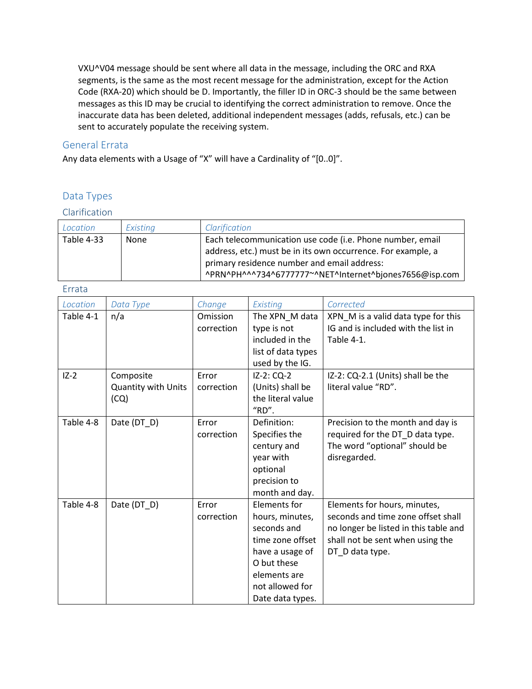VXU^V04 message should be sent where all data in the message, including the ORC and RXA segments, is the same as the most recent message for the administration, except for the Action Code (RXA-20) which should be D. Importantly, the filler ID in ORC-3 should be the same between messages as this ID may be crucial to identifying the correct administration to remove. Once the inaccurate data has been deleted, additional independent messages (adds, refusals, etc.) can be sent to accurately populate the receiving system.

#### General Errata

Any data elements with a Usage of "X" will have a Cardinality of "[0..0]".

### Data Types

#### Clarification

| Location          | Existina    | Clarification                                                                                                             |
|-------------------|-------------|---------------------------------------------------------------------------------------------------------------------------|
| <b>Table 4-33</b> | <b>None</b> | Each telecommunication use code (i.e. Phone number, email<br>address, etc.) must be in its own occurrence. For example, a |
|                   |             | primary residence number and email address:<br>^PRN^PH^^^734^6777777~^NET^Internet^bjones7656@isp.com                     |

| Location  | Data Type                  | Change     | Existing                              | Corrected                                                          |
|-----------|----------------------------|------------|---------------------------------------|--------------------------------------------------------------------|
| Table 4-1 | n/a                        | Omission   | The XPN_M data                        | XPN_M is a valid data type for this                                |
|           |                            | correction | type is not                           | IG and is included with the list in                                |
|           |                            |            | included in the                       | Table 4-1.                                                         |
|           |                            |            | list of data types                    |                                                                    |
|           |                            |            | used by the IG.                       |                                                                    |
| $IZ-2$    | Composite                  | Error      | IZ-2: CQ-2                            | IZ-2: CQ-2.1 (Units) shall be the                                  |
|           | <b>Quantity with Units</b> | correction | (Units) shall be                      | literal value "RD".                                                |
|           | (CQ)                       |            | the literal value                     |                                                                    |
|           |                            |            | "RD".                                 |                                                                    |
| Table 4-8 | Date (DT_D)                | Error      | Definition:                           | Precision to the month and day is                                  |
|           |                            | correction | Specifies the                         | required for the DT_D data type.                                   |
|           |                            |            | century and                           | The word "optional" should be                                      |
|           |                            |            | year with                             | disregarded.                                                       |
|           |                            |            | optional                              |                                                                    |
|           |                            |            | precision to                          |                                                                    |
| Table 4-8 |                            | Error      | month and day.<br><b>Elements for</b> |                                                                    |
|           | Date (DT_D)                | correction | hours, minutes,                       | Elements for hours, minutes,<br>seconds and time zone offset shall |
|           |                            |            | seconds and                           | no longer be listed in this table and                              |
|           |                            |            | time zone offset                      | shall not be sent when using the                                   |
|           |                            |            | have a usage of                       | DT_D data type.                                                    |
|           |                            |            | O but these                           |                                                                    |
|           |                            |            | elements are                          |                                                                    |
|           |                            |            | not allowed for                       |                                                                    |
|           |                            |            | Date data types.                      |                                                                    |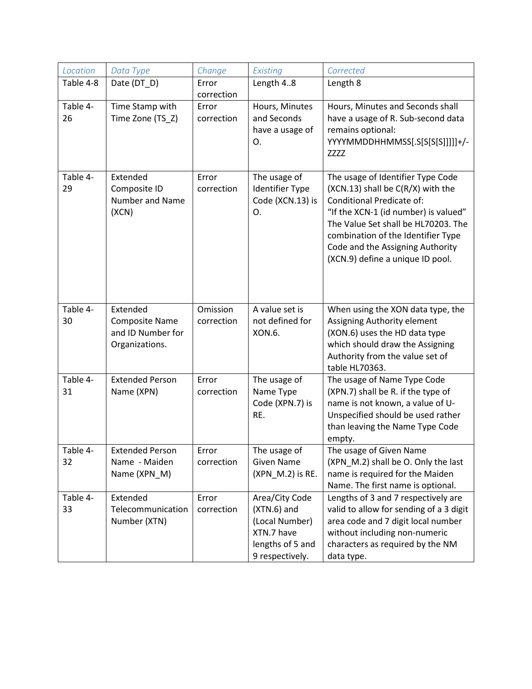| Location       | Data Type                                                                | Change                 | Existing                                                                                               | Corrected                                                                                                                                                                                                                                                                                        |
|----------------|--------------------------------------------------------------------------|------------------------|--------------------------------------------------------------------------------------------------------|--------------------------------------------------------------------------------------------------------------------------------------------------------------------------------------------------------------------------------------------------------------------------------------------------|
| Table 4-8      | Date (DT D)                                                              | Error<br>correction    | Length 48                                                                                              | Length 8                                                                                                                                                                                                                                                                                         |
| Table 4-<br>26 | Time Stamp with<br>Time Zone (TS_Z)                                      | Error<br>correction    | Hours, Minutes<br>and Seconds<br>have a usage of<br>О.                                                 | Hours, Minutes and Seconds shall<br>have a usage of R. Sub-second data<br>remains optional:<br>YYYYMMDDHHMMSS[.S[S[S[S]]]]]+/-<br>ZZZZ                                                                                                                                                           |
| Table 4-<br>29 | Extended<br>Composite ID<br>Number and Name<br>(XCN)                     | Error<br>correction    | The usage of<br><b>Identifier Type</b><br>Code (XCN.13) is<br>O.                                       | The usage of Identifier Type Code<br>(XCN.13) shall be C(R/X) with the<br>Conditional Predicate of:<br>"If the XCN-1 (id number) is valued"<br>The Value Set shall be HL70203. The<br>combination of the Identifier Type<br>Code and the Assigning Authority<br>(XCN.9) define a unique ID pool. |
| Table 4-<br>30 | Extended<br><b>Composite Name</b><br>and ID Number for<br>Organizations. | Omission<br>correction | A value set is<br>not defined for<br>XON.6.                                                            | When using the XON data type, the<br>Assigning Authority element<br>(XON.6) uses the HD data type<br>which should draw the Assigning<br>Authority from the value set of<br>table HL70363.                                                                                                        |
| Table 4-<br>31 | <b>Extended Person</b><br>Name (XPN)                                     | Error<br>correction    | The usage of<br>Name Type<br>Code (XPN.7) is<br>RE.                                                    | The usage of Name Type Code<br>(XPN.7) shall be R. if the type of<br>name is not known, a value of U-<br>Unspecified should be used rather<br>than leaving the Name Type Code<br>empty.                                                                                                          |
| Table 4-<br>32 | <b>Extended Person</b><br>Name - Maiden<br>Name (XPN_M)                  | Error<br>correction    | The usage of<br><b>Given Name</b><br>(XPN M.2) is RE.                                                  | The usage of Given Name<br>(XPN_M.2) shall be O. Only the last<br>name is required for the Maiden<br>Name. The first name is optional.                                                                                                                                                           |
| Table 4-<br>33 | Extended<br>Telecommunication<br>Number (XTN)                            | Error<br>correction    | Area/City Code<br>$(XTN.6)$ and<br>(Local Number)<br>XTN.7 have<br>lengths of 5 and<br>9 respectively. | Lengths of 3 and 7 respectively are<br>valid to allow for sending of a 3 digit<br>area code and 7 digit local number<br>without including non-numeric<br>characters as required by the NM<br>data type.                                                                                          |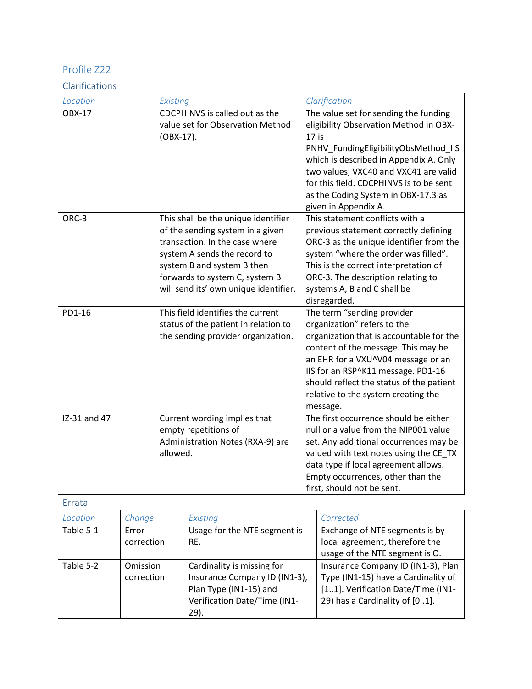### Clarifications

| Location      | Existing                              | Clarification                                                            |
|---------------|---------------------------------------|--------------------------------------------------------------------------|
| <b>OBX-17</b> | CDCPHINVS is called out as the        | The value set for sending the funding                                    |
|               | value set for Observation Method      | eligibility Observation Method in OBX-                                   |
|               | (OBX-17).                             | $17$ is                                                                  |
|               |                                       | PNHV_FundingEligibilityObsMethod_IIS                                     |
|               |                                       | which is described in Appendix A. Only                                   |
|               |                                       | two values, VXC40 and VXC41 are valid                                    |
|               |                                       | for this field. CDCPHINVS is to be sent                                  |
|               |                                       | as the Coding System in OBX-17.3 as                                      |
|               |                                       | given in Appendix A.                                                     |
| ORC-3         | This shall be the unique identifier   | This statement conflicts with a                                          |
|               | of the sending system in a given      | previous statement correctly defining                                    |
|               | transaction. In the case where        | ORC-3 as the unique identifier from the                                  |
|               | system A sends the record to          | system "where the order was filled".                                     |
|               | system B and system B then            | This is the correct interpretation of                                    |
|               | forwards to system C, system B        | ORC-3. The description relating to                                       |
|               | will send its' own unique identifier. | systems A, B and C shall be                                              |
|               |                                       | disregarded.                                                             |
| PD1-16        | This field identifies the current     | The term "sending provider                                               |
|               | status of the patient in relation to  | organization" refers to the                                              |
|               | the sending provider organization.    | organization that is accountable for the                                 |
|               |                                       | content of the message. This may be                                      |
|               |                                       | an EHR for a VXU^V04 message or an<br>IIS for an RSP^K11 message. PD1-16 |
|               |                                       | should reflect the status of the patient                                 |
|               |                                       | relative to the system creating the                                      |
|               |                                       | message.                                                                 |
| IZ-31 and 47  | Current wording implies that          | The first occurrence should be either                                    |
|               | empty repetitions of                  | null or a value from the NIP001 value                                    |
|               | Administration Notes (RXA-9) are      | set. Any additional occurrences may be                                   |
|               | allowed.                              | valued with text notes using the CE_TX                                   |
|               |                                       | data type if local agreement allows.                                     |
|               |                                       | Empty occurrences, other than the                                        |
|               |                                       | first, should not be sent.                                               |

| Location  | Change          | Existing                      | Corrected                           |
|-----------|-----------------|-------------------------------|-------------------------------------|
| Table 5-1 | Error           | Usage for the NTE segment is  | Exchange of NTE segments is by      |
|           | correction      | RE.                           | local agreement, therefore the      |
|           |                 |                               | usage of the NTE segment is O.      |
| Table 5-2 | <b>Omission</b> | Cardinality is missing for    | Insurance Company ID (IN1-3), Plan  |
|           | correction      | Insurance Company ID (IN1-3), | Type (IN1-15) have a Cardinality of |
|           |                 | Plan Type (IN1-15) and        | [11]. Verification Date/Time (IN1-  |
|           |                 | Verification Date/Time (IN1-  | 29) has a Cardinality of [01].      |
|           |                 | $29$ ).                       |                                     |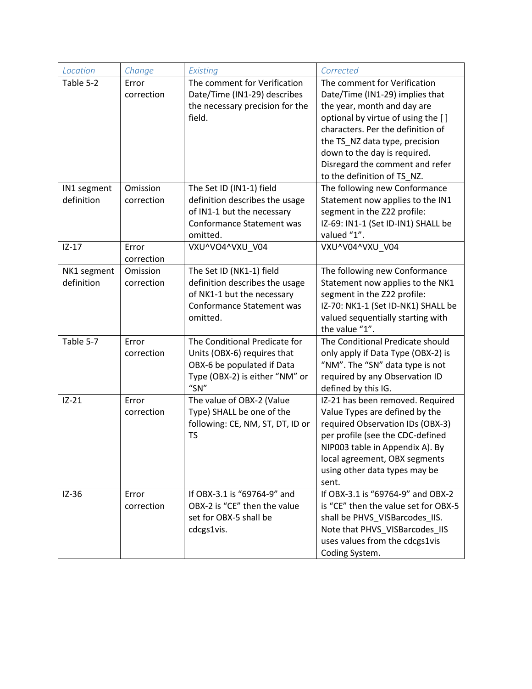| Location                  | Change                 | Existing                                                                                                                                 | Corrected                                                                                                                                                                                                                                                                                                     |
|---------------------------|------------------------|------------------------------------------------------------------------------------------------------------------------------------------|---------------------------------------------------------------------------------------------------------------------------------------------------------------------------------------------------------------------------------------------------------------------------------------------------------------|
| Table 5-2                 | Error<br>correction    | The comment for Verification<br>Date/Time (IN1-29) describes<br>the necessary precision for the<br>field.                                | The comment for Verification<br>Date/Time (IN1-29) implies that<br>the year, month and day are<br>optional by virtue of using the []<br>characters. Per the definition of<br>the TS_NZ data type, precision<br>down to the day is required.<br>Disregard the comment and refer<br>to the definition of TS NZ. |
| IN1 segment<br>definition | Omission<br>correction | The Set ID (IN1-1) field<br>definition describes the usage<br>of IN1-1 but the necessary<br><b>Conformance Statement was</b><br>omitted. | The following new Conformance<br>Statement now applies to the IN1<br>segment in the Z22 profile:<br>IZ-69: IN1-1 (Set ID-IN1) SHALL be<br>valued "1".                                                                                                                                                         |
| $IZ-17$                   | Error<br>correction    | VXU^VO4^VXU V04                                                                                                                          | VXU^V04^VXU V04                                                                                                                                                                                                                                                                                               |
| NK1 segment<br>definition | Omission<br>correction | The Set ID (NK1-1) field<br>definition describes the usage<br>of NK1-1 but the necessary<br>Conformance Statement was<br>omitted.        | The following new Conformance<br>Statement now applies to the NK1<br>segment in the Z22 profile:<br>IZ-70: NK1-1 (Set ID-NK1) SHALL be<br>valued sequentially starting with<br>the value "1".                                                                                                                 |
| Table 5-7                 | Error<br>correction    | The Conditional Predicate for<br>Units (OBX-6) requires that<br>OBX-6 be populated if Data<br>Type (OBX-2) is either "NM" or<br>"SN"     | The Conditional Predicate should<br>only apply if Data Type (OBX-2) is<br>"NM". The "SN" data type is not<br>required by any Observation ID<br>defined by this IG.                                                                                                                                            |
| $IZ-21$                   | Error<br>correction    | The value of OBX-2 (Value<br>Type) SHALL be one of the<br>following: CE, NM, ST, DT, ID or<br><b>TS</b>                                  | IZ-21 has been removed. Required<br>Value Types are defined by the<br>required Observation IDs (OBX-3)<br>per profile (see the CDC-defined<br>NIP003 table in Appendix A). By<br>local agreement, OBX segments<br>using other data types may be<br>sent.                                                      |
| $IZ-36$                   | Error<br>correction    | If OBX-3.1 is "69764-9" and<br>OBX-2 is "CE" then the value<br>set for OBX-5 shall be<br>cdcgs1vis.                                      | If OBX-3.1 is "69764-9" and OBX-2<br>is "CE" then the value set for OBX-5<br>shall be PHVS_VISBarcodes_IIS.<br>Note that PHVS VISBarcodes IIS<br>uses values from the cdcgs1vis<br>Coding System.                                                                                                             |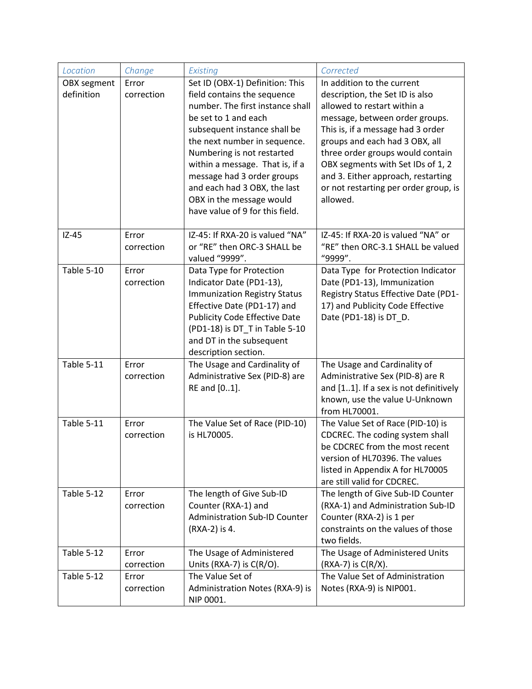| Location    | Change     | Existing                                                            | Corrected                                                             |
|-------------|------------|---------------------------------------------------------------------|-----------------------------------------------------------------------|
| OBX segment | Error      | Set ID (OBX-1) Definition: This                                     | In addition to the current                                            |
| definition  | correction | field contains the sequence                                         | description, the Set ID is also                                       |
|             |            | number. The first instance shall                                    | allowed to restart within a                                           |
|             |            | be set to 1 and each                                                | message, between order groups.                                        |
|             |            | subsequent instance shall be                                        | This is, if a message had 3 order                                     |
|             |            | the next number in sequence.                                        | groups and each had 3 OBX, all                                        |
|             |            | Numbering is not restarted<br>within a message. That is, if a       | three order groups would contain<br>OBX segments with Set IDs of 1, 2 |
|             |            | message had 3 order groups                                          | and 3. Either approach, restarting                                    |
|             |            | and each had 3 OBX, the last                                        | or not restarting per order group, is                                 |
|             |            | OBX in the message would                                            | allowed.                                                              |
|             |            | have value of 9 for this field.                                     |                                                                       |
|             |            |                                                                     |                                                                       |
| $IZ-45$     | Error      | IZ-45: If RXA-20 is valued "NA"                                     | IZ-45: If RXA-20 is valued "NA" or                                    |
|             | correction | or "RE" then ORC-3 SHALL be                                         | "RE" then ORC-3.1 SHALL be valued                                     |
|             |            | valued "9999".                                                      | "9999".                                                               |
| Table 5-10  | Error      | Data Type for Protection                                            | Data Type for Protection Indicator                                    |
|             | correction | Indicator Date (PD1-13),                                            | Date (PD1-13), Immunization                                           |
|             |            | <b>Immunization Registry Status</b>                                 | Registry Status Effective Date (PD1-                                  |
|             |            | Effective Date (PD1-17) and<br><b>Publicity Code Effective Date</b> | 17) and Publicity Code Effective<br>Date (PD1-18) is DT_D.            |
|             |            | (PD1-18) is DT_T in Table 5-10                                      |                                                                       |
|             |            | and DT in the subsequent                                            |                                                                       |
|             |            | description section.                                                |                                                                       |
| Table 5-11  | Error      | The Usage and Cardinality of                                        | The Usage and Cardinality of                                          |
|             | correction | Administrative Sex (PID-8) are                                      | Administrative Sex (PID-8) are R                                      |
|             |            | RE and [01].                                                        | and [11]. If a sex is not definitively                                |
|             |            |                                                                     | known, use the value U-Unknown                                        |
|             |            |                                                                     | from HL70001.                                                         |
| Table 5-11  | Error      | The Value Set of Race (PID-10)                                      | The Value Set of Race (PID-10) is                                     |
|             | correction | is HL70005.                                                         | CDCREC. The coding system shall<br>be CDCREC from the most recent     |
|             |            |                                                                     | version of HL70396. The values                                        |
|             |            |                                                                     | listed in Appendix A for HL70005                                      |
|             |            |                                                                     | are still valid for CDCREC.                                           |
| Table 5-12  | Error      | The length of Give Sub-ID                                           | The length of Give Sub-ID Counter                                     |
|             | correction | Counter (RXA-1) and                                                 | (RXA-1) and Administration Sub-ID                                     |
|             |            | <b>Administration Sub-ID Counter</b>                                | Counter (RXA-2) is 1 per                                              |
|             |            | (RXA-2) is 4.                                                       | constraints on the values of those                                    |
|             |            |                                                                     | two fields.                                                           |
| Table 5-12  | Error      | The Usage of Administered                                           | The Usage of Administered Units                                       |
|             | correction | Units (RXA-7) is C(R/O).                                            | (RXA-7) is C(R/X).                                                    |
| Table 5-12  | Error      | The Value Set of                                                    | The Value Set of Administration                                       |
|             | correction | Administration Notes (RXA-9) is<br>NIP 0001.                        | Notes (RXA-9) is NIP001.                                              |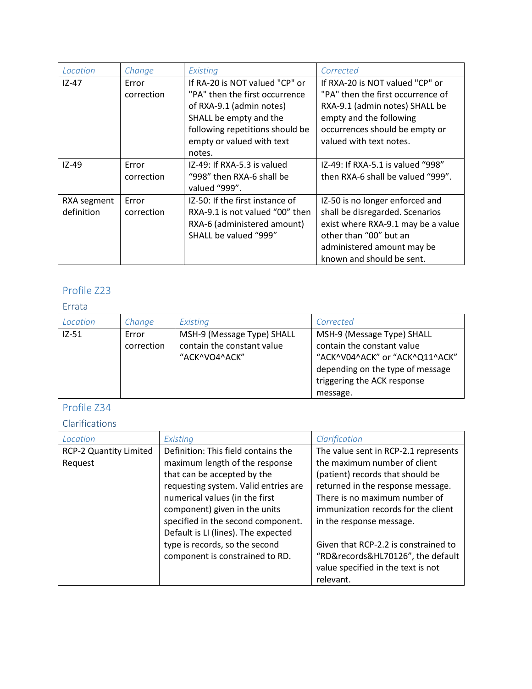| Location    | Change     | Existing                        | Corrected                          |
|-------------|------------|---------------------------------|------------------------------------|
| $IZ-47$     | Error      | If RA-20 is NOT valued "CP" or  | If RXA-20 is NOT valued "CP" or    |
|             | correction | "PA" then the first occurrence  | "PA" then the first occurrence of  |
|             |            | of RXA-9.1 (admin notes)        | RXA-9.1 (admin notes) SHALL be     |
|             |            | SHALL be empty and the          | empty and the following            |
|             |            | following repetitions should be | occurrences should be empty or     |
|             |            | empty or valued with text       | valued with text notes.            |
|             |            | notes.                          |                                    |
| $IZ-49$     | Error      | IZ-49: If RXA-5.3 is valued     | IZ-49: If RXA-5.1 is valued "998"  |
|             | correction | "998" then RXA-6 shall be       | then RXA-6 shall be valued "999".  |
|             |            | valued "999".                   |                                    |
| RXA segment | Error      | IZ-50: If the first instance of | IZ-50 is no longer enforced and    |
| definition  | correction | RXA-9.1 is not valued "00" then | shall be disregarded. Scenarios    |
|             |            | RXA-6 (administered amount)     | exist where RXA-9.1 may be a value |
|             |            | SHALL be valued "999"           | other than "00" but an             |
|             |            |                                 | administered amount may be         |
|             |            |                                 | known and should be sent.          |

### Errata

| Location | Change              | Existing                                                                  | Corrected                                                                                                                                                                 |
|----------|---------------------|---------------------------------------------------------------------------|---------------------------------------------------------------------------------------------------------------------------------------------------------------------------|
| $IZ-51$  | Error<br>correction | MSH-9 (Message Type) SHALL<br>contain the constant value<br>"ACK^VO4^ACK" | MSH-9 (Message Type) SHALL<br>contain the constant value<br>"ACK^V04^ACK" or "ACK^Q11^ACK"<br>depending on the type of message<br>triggering the ACK response<br>message. |

# Profile Z34

## Clarifications

| Location                      | Existing                             | Clarification                        |
|-------------------------------|--------------------------------------|--------------------------------------|
| <b>RCP-2 Quantity Limited</b> | Definition: This field contains the  | The value sent in RCP-2.1 represents |
| Request                       | maximum length of the response       | the maximum number of client         |
|                               | that can be accepted by the          | (patient) records that should be     |
|                               | requesting system. Valid entries are | returned in the response message.    |
|                               | numerical values (in the first       | There is no maximum number of        |
|                               | component) given in the units        | immunization records for the client  |
|                               | specified in the second component.   | in the response message.             |
|                               | Default is LI (lines). The expected  |                                      |
|                               | type is records, so the second       | Given that RCP-2.2 is constrained to |
|                               | component is constrained to RD.      | "RD&records&HL70126", the default    |
|                               |                                      | value specified in the text is not   |
|                               |                                      | relevant.                            |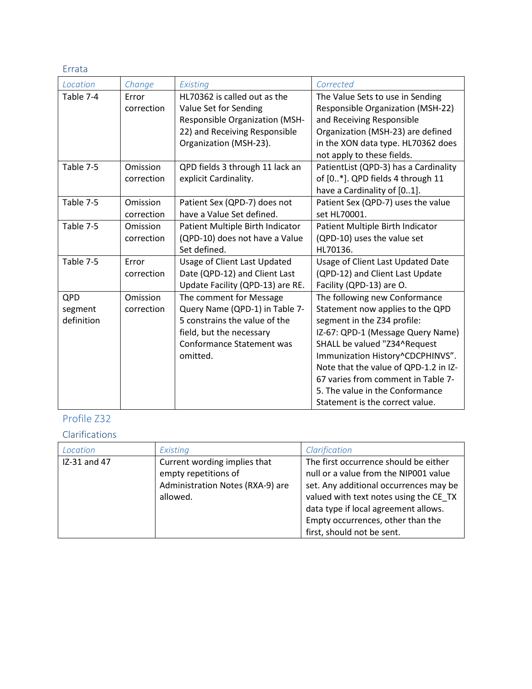Errata

| Location   | Change     | Existing                              | Corrected                                |
|------------|------------|---------------------------------------|------------------------------------------|
| Table 7-4  | Error      | HL70362 is called out as the          | The Value Sets to use in Sending         |
|            | correction | Value Set for Sending                 | <b>Responsible Organization (MSH-22)</b> |
|            |            | <b>Responsible Organization (MSH-</b> | and Receiving Responsible                |
|            |            | 22) and Receiving Responsible         | Organization (MSH-23) are defined        |
|            |            | Organization (MSH-23).                | in the XON data type. HL70362 does       |
|            |            |                                       | not apply to these fields.               |
| Table 7-5  | Omission   | QPD fields 3 through 11 lack an       | PatientList (QPD-3) has a Cardinality    |
|            | correction | explicit Cardinality.                 | of [0*]. QPD fields 4 through 11         |
|            |            |                                       | have a Cardinality of [01].              |
| Table 7-5  | Omission   | Patient Sex (QPD-7) does not          | Patient Sex (QPD-7) uses the value       |
|            | correction | have a Value Set defined.             | set HL70001.                             |
| Table 7-5  | Omission   | Patient Multiple Birth Indicator      | Patient Multiple Birth Indicator         |
|            | correction | (QPD-10) does not have a Value        | (QPD-10) uses the value set              |
|            |            | Set defined.                          | HL70136.                                 |
| Table 7-5  | Error      | Usage of Client Last Updated          | Usage of Client Last Updated Date        |
|            | correction | Date (QPD-12) and Client Last         | (QPD-12) and Client Last Update          |
|            |            | Update Facility (QPD-13) are RE.      | Facility (QPD-13) are O.                 |
| QPD        | Omission   | The comment for Message               | The following new Conformance            |
| segment    | correction | Query Name (QPD-1) in Table 7-        | Statement now applies to the QPD         |
| definition |            | 5 constrains the value of the         | segment in the Z34 profile:              |
|            |            | field, but the necessary              | IZ-67: QPD-1 (Message Query Name)        |
|            |            | <b>Conformance Statement was</b>      | SHALL be valued "Z34^Request             |
|            |            | omitted.                              | Immunization History^CDCPHINVS".         |
|            |            |                                       | Note that the value of QPD-1.2 in IZ-    |
|            |            |                                       | 67 varies from comment in Table 7-       |
|            |            |                                       | 5. The value in the Conformance          |
|            |            |                                       | Statement is the correct value.          |

# Profile Z32

Clarifications

| Location     | Existing                                                                                             | Clarification                                                                                                                                                                                                                                                                 |
|--------------|------------------------------------------------------------------------------------------------------|-------------------------------------------------------------------------------------------------------------------------------------------------------------------------------------------------------------------------------------------------------------------------------|
| IZ-31 and 47 | Current wording implies that<br>empty repetitions of<br>Administration Notes (RXA-9) are<br>allowed. | The first occurrence should be either<br>null or a value from the NIP001 value<br>set. Any additional occurrences may be<br>valued with text notes using the CE TX<br>data type if local agreement allows.<br>Empty occurrences, other than the<br>first, should not be sent. |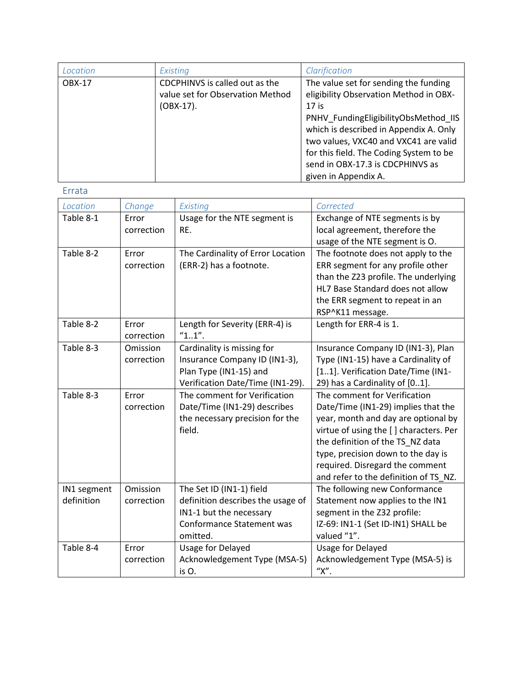| Location      | Existing                                                                           | Clarification                                                                                                                                                                                                                                                                                                                |
|---------------|------------------------------------------------------------------------------------|------------------------------------------------------------------------------------------------------------------------------------------------------------------------------------------------------------------------------------------------------------------------------------------------------------------------------|
| <b>OBX-17</b> | CDCPHINVS is called out as the<br>value set for Observation Method<br>$(OBX-17)$ . | The value set for sending the funding<br>eligibility Observation Method in OBX-<br>$17$ is<br>PNHV_FundingEligibilityObsMethod_IIS<br>which is described in Appendix A. Only<br>two values, VXC40 and VXC41 are valid<br>for this field. The Coding System to be<br>send in OBX-17.3 is CDCPHINVS as<br>given in Appendix A. |

| Location    | Change     | Existing                          | Corrected                              |
|-------------|------------|-----------------------------------|----------------------------------------|
| Table 8-1   | Error      | Usage for the NTE segment is      | Exchange of NTE segments is by         |
|             | correction | RE.                               | local agreement, therefore the         |
|             |            |                                   | usage of the NTE segment is O.         |
| Table 8-2   | Error      | The Cardinality of Error Location | The footnote does not apply to the     |
|             | correction | (ERR-2) has a footnote.           | ERR segment for any profile other      |
|             |            |                                   | than the Z23 profile. The underlying   |
|             |            |                                   | HL7 Base Standard does not allow       |
|             |            |                                   | the ERR segment to repeat in an        |
|             |            |                                   | RSP^K11 message.                       |
| Table 8-2   | Error      | Length for Severity (ERR-4) is    | Length for ERR-4 is 1.                 |
|             | correction | "11".                             |                                        |
| Table 8-3   | Omission   | Cardinality is missing for        | Insurance Company ID (IN1-3), Plan     |
|             | correction | Insurance Company ID (IN1-3),     | Type (IN1-15) have a Cardinality of    |
|             |            | Plan Type (IN1-15) and            | [11]. Verification Date/Time (IN1-     |
|             |            | Verification Date/Time (IN1-29).  | 29) has a Cardinality of [01].         |
| Table 8-3   | Error      | The comment for Verification      | The comment for Verification           |
|             | correction | Date/Time (IN1-29) describes      | Date/Time (IN1-29) implies that the    |
|             |            | the necessary precision for the   | year, month and day are optional by    |
|             |            | field.                            | virtue of using the [] characters. Per |
|             |            |                                   | the definition of the TS_NZ data       |
|             |            |                                   | type, precision down to the day is     |
|             |            |                                   | required. Disregard the comment        |
|             |            |                                   | and refer to the definition of TS NZ.  |
| IN1 segment | Omission   | The Set ID (IN1-1) field          | The following new Conformance          |
| definition  | correction | definition describes the usage of | Statement now applies to the IN1       |
|             |            | IN1-1 but the necessary           | segment in the Z32 profile:            |
|             |            | <b>Conformance Statement was</b>  | IZ-69: IN1-1 (Set ID-IN1) SHALL be     |
|             |            | omitted.                          | valued "1".                            |
| Table 8-4   | Error      | Usage for Delayed                 | Usage for Delayed                      |
|             | correction | Acknowledgement Type (MSA-5)      | Acknowledgement Type (MSA-5) is        |
|             |            | is O.                             | "Х".                                   |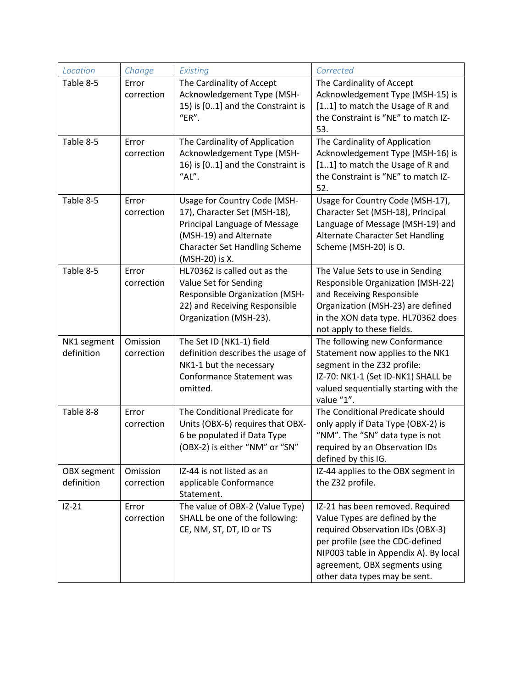| Location    | Change     | Existing                                                       | Corrected                                                                    |
|-------------|------------|----------------------------------------------------------------|------------------------------------------------------------------------------|
| Table 8-5   | Error      | The Cardinality of Accept                                      | The Cardinality of Accept                                                    |
|             | correction | Acknowledgement Type (MSH-                                     | Acknowledgement Type (MSH-15) is                                             |
|             |            | 15) is [01] and the Constraint is                              | [11] to match the Usage of R and                                             |
|             |            | "ER".                                                          | the Constraint is "NE" to match IZ-                                          |
|             |            |                                                                | 53.                                                                          |
| Table 8-5   | Error      | The Cardinality of Application                                 | The Cardinality of Application                                               |
|             | correction | Acknowledgement Type (MSH-                                     | Acknowledgement Type (MSH-16) is                                             |
|             |            | 16) is [01] and the Constraint is                              | [11] to match the Usage of R and                                             |
|             |            | "AL".                                                          | the Constraint is "NE" to match IZ-                                          |
|             |            |                                                                | 52.                                                                          |
| Table 8-5   | Error      | Usage for Country Code (MSH-                                   | Usage for Country Code (MSH-17),                                             |
|             | correction | 17), Character Set (MSH-18),                                   | Character Set (MSH-18), Principal                                            |
|             |            | Principal Language of Message                                  | Language of Message (MSH-19) and                                             |
|             |            | (MSH-19) and Alternate                                         | Alternate Character Set Handling                                             |
|             |            | <b>Character Set Handling Scheme</b>                           | Scheme (MSH-20) is O.                                                        |
|             |            | (MSH-20) is X.                                                 |                                                                              |
| Table 8-5   | Error      | HL70362 is called out as the                                   | The Value Sets to use in Sending<br><b>Responsible Organization (MSH-22)</b> |
|             | correction | Value Set for Sending<br><b>Responsible Organization (MSH-</b> | and Receiving Responsible                                                    |
|             |            | 22) and Receiving Responsible                                  | Organization (MSH-23) are defined                                            |
|             |            | Organization (MSH-23).                                         | in the XON data type. HL70362 does                                           |
|             |            |                                                                | not apply to these fields.                                                   |
| NK1 segment | Omission   | The Set ID (NK1-1) field                                       | The following new Conformance                                                |
| definition  | correction | definition describes the usage of                              | Statement now applies to the NK1                                             |
|             |            | NK1-1 but the necessary                                        | segment in the Z32 profile:                                                  |
|             |            | Conformance Statement was                                      | IZ-70: NK1-1 (Set ID-NK1) SHALL be                                           |
|             |            | omitted.                                                       | valued sequentially starting with the                                        |
|             |            |                                                                | value "1".                                                                   |
| Table 8-8   | Error      | The Conditional Predicate for                                  | The Conditional Predicate should                                             |
|             | correction | Units (OBX-6) requires that OBX-                               | only apply if Data Type (OBX-2) is                                           |
|             |            | 6 be populated if Data Type                                    | "NM". The "SN" data type is not                                              |
|             |            | (OBX-2) is either "NM" or "SN"                                 | required by an Observation IDs                                               |
|             |            |                                                                | defined by this IG.                                                          |
| OBX segment | Omission   | IZ-44 is not listed as an                                      | IZ-44 applies to the OBX segment in                                          |
| definition  | correction | applicable Conformance                                         | the Z32 profile.                                                             |
|             |            | Statement.                                                     |                                                                              |
| $IZ-21$     | Error      | The value of OBX-2 (Value Type)                                | IZ-21 has been removed. Required                                             |
|             | correction | SHALL be one of the following:                                 | Value Types are defined by the                                               |
|             |            | CE, NM, ST, DT, ID or TS                                       | required Observation IDs (OBX-3)                                             |
|             |            |                                                                | per profile (see the CDC-defined                                             |
|             |            |                                                                | NIP003 table in Appendix A). By local                                        |
|             |            |                                                                | agreement, OBX segments using                                                |
|             |            |                                                                | other data types may be sent.                                                |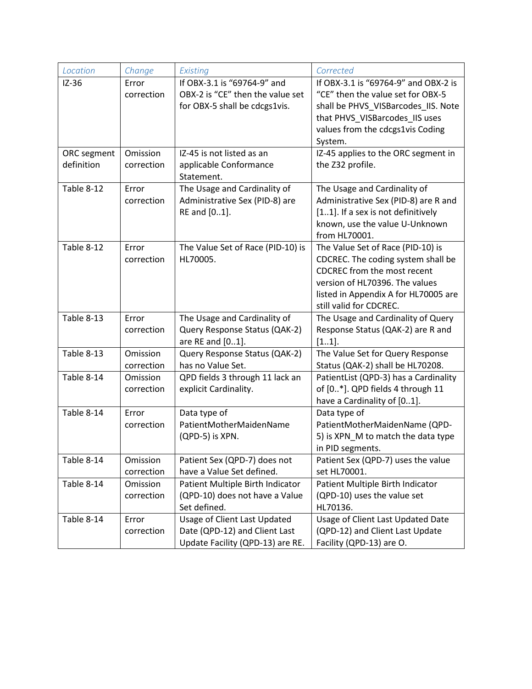| Location    | Change                 | Existing                                                                                          | Corrected                                                                                                                                                                                                          |
|-------------|------------------------|---------------------------------------------------------------------------------------------------|--------------------------------------------------------------------------------------------------------------------------------------------------------------------------------------------------------------------|
| $IZ-36$     | Error<br>correction    | If OBX-3.1 is "69764-9" and<br>OBX-2 is "CE" then the value set<br>for OBX-5 shall be cdcgs1vis.  | If OBX-3.1 is "69764-9" and OBX-2 is<br>"CE" then the value set for OBX-5<br>shall be PHVS_VISBarcodes_IIS. Note<br>that PHVS VISBarcodes IIS uses<br>values from the cdcgs1vis Coding<br>System.                  |
| ORC segment | Omission               | IZ-45 is not listed as an                                                                         | IZ-45 applies to the ORC segment in                                                                                                                                                                                |
| definition  | correction             | applicable Conformance<br>Statement.                                                              | the Z32 profile.                                                                                                                                                                                                   |
| Table 8-12  | Error<br>correction    | The Usage and Cardinality of<br>Administrative Sex (PID-8) are<br>RE and [01].                    | The Usage and Cardinality of<br>Administrative Sex (PID-8) are R and<br>[11]. If a sex is not definitively<br>known, use the value U-Unknown<br>from HL70001.                                                      |
| Table 8-12  | Error<br>correction    | The Value Set of Race (PID-10) is<br>HL70005.                                                     | The Value Set of Race (PID-10) is<br>CDCREC. The coding system shall be<br><b>CDCREC from the most recent</b><br>version of HL70396. The values<br>listed in Appendix A for HL70005 are<br>still valid for CDCREC. |
| Table 8-13  | Error<br>correction    | The Usage and Cardinality of<br>Query Response Status (QAK-2)<br>are RE and [01].                 | The Usage and Cardinality of Query<br>Response Status (QAK-2) are R and<br>[11].                                                                                                                                   |
| Table 8-13  | Omission<br>correction | Query Response Status (QAK-2)<br>has no Value Set.                                                | The Value Set for Query Response<br>Status (QAK-2) shall be HL70208.                                                                                                                                               |
| Table 8-14  | Omission<br>correction | QPD fields 3 through 11 lack an<br>explicit Cardinality.                                          | PatientList (QPD-3) has a Cardinality<br>of [0*]. QPD fields 4 through 11<br>have a Cardinality of [01].                                                                                                           |
| Table 8-14  | Error<br>correction    | Data type of<br>PatientMotherMaidenName<br>(QPD-5) is XPN.                                        | Data type of<br>PatientMotherMaidenName (QPD-<br>5) is XPN_M to match the data type<br>in PID segments.                                                                                                            |
| Table 8-14  | Omission<br>correction | Patient Sex (QPD-7) does not<br>have a Value Set defined.                                         | Patient Sex (QPD-7) uses the value<br>set HL70001.                                                                                                                                                                 |
| Table 8-14  | Omission<br>correction | Patient Multiple Birth Indicator<br>(QPD-10) does not have a Value<br>Set defined.                | Patient Multiple Birth Indicator<br>(QPD-10) uses the value set<br>HL70136.                                                                                                                                        |
| Table 8-14  | Error<br>correction    | Usage of Client Last Updated<br>Date (QPD-12) and Client Last<br>Update Facility (QPD-13) are RE. | Usage of Client Last Updated Date<br>(QPD-12) and Client Last Update<br>Facility (QPD-13) are O.                                                                                                                   |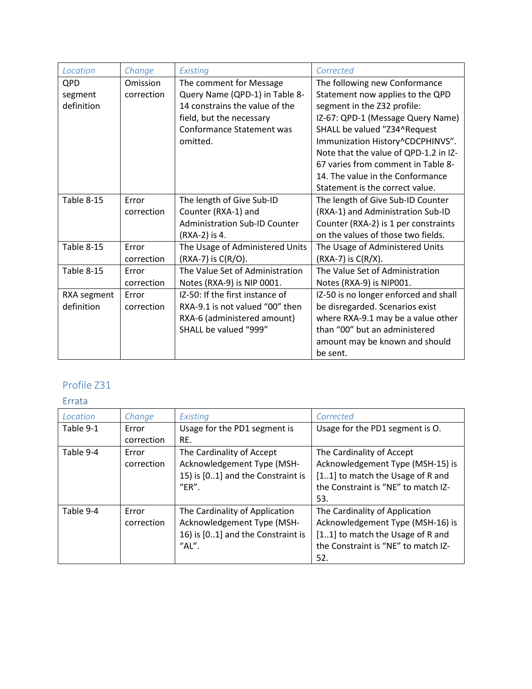| Location    | Change     | Existing                             | Corrected                             |
|-------------|------------|--------------------------------------|---------------------------------------|
| QPD         | Omission   | The comment for Message              | The following new Conformance         |
| segment     | correction | Query Name (QPD-1) in Table 8-       | Statement now applies to the QPD      |
| definition  |            | 14 constrains the value of the       | segment in the Z32 profile:           |
|             |            | field, but the necessary             | IZ-67: QPD-1 (Message Query Name)     |
|             |            | Conformance Statement was            | SHALL be valued "Z34^Request          |
|             |            | omitted.                             | Immunization History^CDCPHINVS".      |
|             |            |                                      | Note that the value of QPD-1.2 in IZ- |
|             |            |                                      | 67 varies from comment in Table 8-    |
|             |            |                                      | 14. The value in the Conformance      |
|             |            |                                      | Statement is the correct value.       |
| Table 8-15  | Frror      | The length of Give Sub-ID            | The length of Give Sub-ID Counter     |
|             | correction | Counter (RXA-1) and                  | (RXA-1) and Administration Sub-ID     |
|             |            | <b>Administration Sub-ID Counter</b> | Counter (RXA-2) is 1 per constraints  |
|             |            | (RXA-2) is 4.                        | on the values of those two fields.    |
| Table 8-15  | Error      | The Usage of Administered Units      | The Usage of Administered Units       |
|             | correction | (RXA-7) is C(R/O).                   | $(RXA-7)$ is $C(R/X)$ .               |
| Table 8-15  | Error      | The Value Set of Administration      | The Value Set of Administration       |
|             | correction | Notes (RXA-9) is NIP 0001.           | Notes (RXA-9) is NIP001.              |
| RXA segment | Frror      | IZ-50: If the first instance of      | IZ-50 is no longer enforced and shall |
| definition  | correction | RXA-9.1 is not valued "00" then      | be disregarded. Scenarios exist       |
|             |            | RXA-6 (administered amount)          | where RXA-9.1 may be a value other    |
|             |            | SHALL be valued "999"                | than "00" but an administered         |
|             |            |                                      | amount may be known and should        |
|             |            |                                      | be sent.                              |

| Location  | Change              | Existina                                                                                                   | Corrected                                                                                                                                            |
|-----------|---------------------|------------------------------------------------------------------------------------------------------------|------------------------------------------------------------------------------------------------------------------------------------------------------|
| Table 9-1 | Error<br>correction | Usage for the PD1 segment is<br>RE.                                                                        | Usage for the PD1 segment is O.                                                                                                                      |
| Table 9-4 | Error<br>correction | The Cardinality of Accept<br>Acknowledgement Type (MSH-<br>15) is [01] and the Constraint is<br>"ER".      | The Cardinality of Accept<br>Acknowledgement Type (MSH-15) is<br>[11] to match the Usage of R and<br>the Constraint is "NE" to match IZ-<br>53.      |
| Table 9-4 | Error<br>correction | The Cardinality of Application<br>Acknowledgement Type (MSH-<br>16) is [01] and the Constraint is<br>"AL". | The Cardinality of Application<br>Acknowledgement Type (MSH-16) is<br>[11] to match the Usage of R and<br>the Constraint is "NE" to match IZ-<br>52. |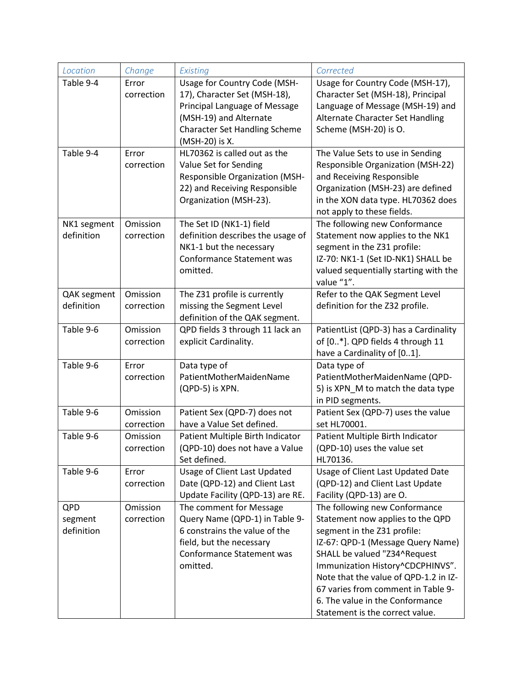| Location    | Change     | Existing                                                    | Corrected                             |
|-------------|------------|-------------------------------------------------------------|---------------------------------------|
| Table 9-4   | Error      | Usage for Country Code (MSH-                                | Usage for Country Code (MSH-17),      |
|             | correction | 17), Character Set (MSH-18),                                | Character Set (MSH-18), Principal     |
|             |            | Principal Language of Message                               | Language of Message (MSH-19) and      |
|             |            | (MSH-19) and Alternate                                      | Alternate Character Set Handling      |
|             |            | <b>Character Set Handling Scheme</b>                        | Scheme (MSH-20) is O.                 |
|             |            | (MSH-20) is X.                                              |                                       |
| Table 9-4   | Error      | HL70362 is called out as the                                | The Value Sets to use in Sending      |
|             | correction | Value Set for Sending                                       | Responsible Organization (MSH-22)     |
|             |            | Responsible Organization (MSH-                              | and Receiving Responsible             |
|             |            | 22) and Receiving Responsible                               | Organization (MSH-23) are defined     |
|             |            | Organization (MSH-23).                                      | in the XON data type. HL70362 does    |
|             |            |                                                             | not apply to these fields.            |
| NK1 segment | Omission   | The Set ID (NK1-1) field                                    | The following new Conformance         |
| definition  | correction | definition describes the usage of                           | Statement now applies to the NK1      |
|             |            | NK1-1 but the necessary                                     | segment in the Z31 profile:           |
|             |            | <b>Conformance Statement was</b>                            | IZ-70: NK1-1 (Set ID-NK1) SHALL be    |
|             |            | omitted.                                                    | valued sequentially starting with the |
|             |            |                                                             | value "1".                            |
| QAK segment | Omission   | The Z31 profile is currently                                | Refer to the QAK Segment Level        |
| definition  | correction | missing the Segment Level<br>definition of the QAK segment. | definition for the Z32 profile.       |
| Table 9-6   | Omission   | QPD fields 3 through 11 lack an                             | PatientList (QPD-3) has a Cardinality |
|             | correction | explicit Cardinality.                                       | of [0*]. QPD fields 4 through 11      |
|             |            |                                                             | have a Cardinality of [01].           |
| Table 9-6   | Error      | Data type of                                                | Data type of                          |
|             | correction | PatientMotherMaidenName                                     | PatientMotherMaidenName (QPD-         |
|             |            | (QPD-5) is XPN.                                             | 5) is XPN_M to match the data type    |
|             |            |                                                             | in PID segments.                      |
| Table 9-6   | Omission   | Patient Sex (QPD-7) does not                                | Patient Sex (QPD-7) uses the value    |
|             | correction | have a Value Set defined.                                   | set HL70001.                          |
| Table 9-6   | Omission   | Patient Multiple Birth Indicator                            | Patient Multiple Birth Indicator      |
|             | correction | (QPD-10) does not have a Value                              | (QPD-10) uses the value set           |
|             |            | Set defined.                                                | HL70136.                              |
| Table 9-6   | Error      | Usage of Client Last Updated                                | Usage of Client Last Updated Date     |
|             | correction | Date (QPD-12) and Client Last                               | (QPD-12) and Client Last Update       |
|             |            | Update Facility (QPD-13) are RE.                            | Facility (QPD-13) are O.              |
| QPD         | Omission   | The comment for Message                                     | The following new Conformance         |
| segment     | correction | Query Name (QPD-1) in Table 9-                              | Statement now applies to the QPD      |
| definition  |            | 6 constrains the value of the                               | segment in the Z31 profile:           |
|             |            | field, but the necessary                                    | IZ-67: QPD-1 (Message Query Name)     |
|             |            | Conformance Statement was                                   | SHALL be valued "Z34^Request          |
|             |            | omitted.                                                    | Immunization History^CDCPHINVS".      |
|             |            |                                                             | Note that the value of QPD-1.2 in IZ- |
|             |            |                                                             | 67 varies from comment in Table 9-    |
|             |            |                                                             | 6. The value in the Conformance       |
|             |            |                                                             | Statement is the correct value.       |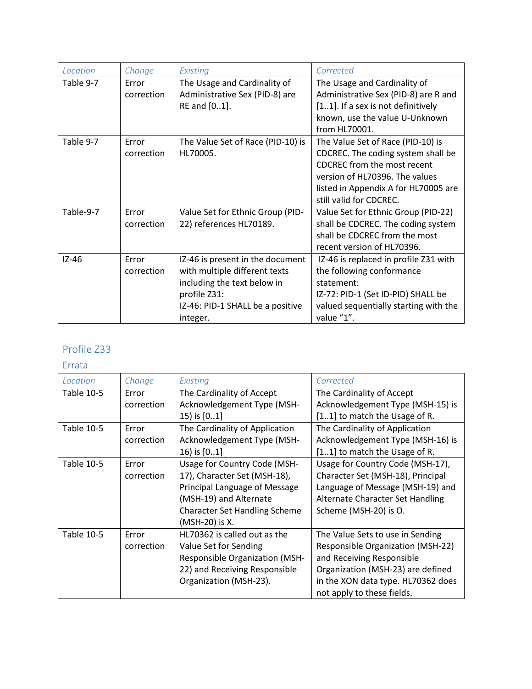| Location  | Change     | Existing                          | Corrected                             |
|-----------|------------|-----------------------------------|---------------------------------------|
| Table 9-7 | Error      | The Usage and Cardinality of      | The Usage and Cardinality of          |
|           | correction | Administrative Sex (PID-8) are    | Administrative Sex (PID-8) are R and  |
|           |            | RE and [01].                      | [11]. If a sex is not definitively    |
|           |            |                                   | known, use the value U-Unknown        |
|           |            |                                   | from HL70001.                         |
| Table 9-7 | Error      | The Value Set of Race (PID-10) is | The Value Set of Race (PID-10) is     |
|           | correction | HL70005.                          | CDCREC. The coding system shall be    |
|           |            |                                   | <b>CDCREC</b> from the most recent    |
|           |            |                                   | version of HL70396. The values        |
|           |            |                                   | listed in Appendix A for HL70005 are  |
|           |            |                                   | still valid for CDCREC.               |
| Table-9-7 | Error      | Value Set for Ethnic Group (PID-  | Value Set for Ethnic Group (PID-22)   |
|           | correction | 22) references HL70189.           | shall be CDCREC. The coding system    |
|           |            |                                   | shall be CDCREC from the most         |
|           |            |                                   | recent version of HL70396.            |
| $IZ-46$   | Frror      | IZ-46 is present in the document  | IZ-46 is replaced in profile Z31 with |
|           | correction | with multiple different texts     | the following conformance             |
|           |            | including the text below in       | statement:                            |
|           |            | profile Z31:                      | IZ-72: PID-1 (Set ID-PID) SHALL be    |
|           |            | IZ-46: PID-1 SHALL be a positive  | valued sequentially starting with the |
|           |            | integer.                          | value "1".                            |

| Location          | Change     | Existing                              | Corrected                          |
|-------------------|------------|---------------------------------------|------------------------------------|
| Table 10-5        | Error      | The Cardinality of Accept             | The Cardinality of Accept          |
|                   | correction | Acknowledgement Type (MSH-            | Acknowledgement Type (MSH-15) is   |
|                   |            | 15) is [01]                           | [11] to match the Usage of R.      |
| Table 10-5        | Error      | The Cardinality of Application        | The Cardinality of Application     |
|                   | correction | Acknowledgement Type (MSH-            | Acknowledgement Type (MSH-16) is   |
|                   |            | 16) is [01]                           | [11] to match the Usage of R.      |
| Table 10-5        | Error      | Usage for Country Code (MSH-          | Usage for Country Code (MSH-17),   |
|                   | correction | 17), Character Set (MSH-18),          | Character Set (MSH-18), Principal  |
|                   |            | Principal Language of Message         | Language of Message (MSH-19) and   |
|                   |            | (MSH-19) and Alternate                | Alternate Character Set Handling   |
|                   |            | <b>Character Set Handling Scheme</b>  | Scheme (MSH-20) is O.              |
|                   |            | (MSH-20) is X.                        |                                    |
| <b>Table 10-5</b> | Error      | HL70362 is called out as the          | The Value Sets to use in Sending   |
|                   | correction | Value Set for Sending                 | Responsible Organization (MSH-22)  |
|                   |            | <b>Responsible Organization (MSH-</b> | and Receiving Responsible          |
|                   |            | 22) and Receiving Responsible         | Organization (MSH-23) are defined  |
|                   |            | Organization (MSH-23).                | in the XON data type. HL70362 does |
|                   |            |                                       | not apply to these fields.         |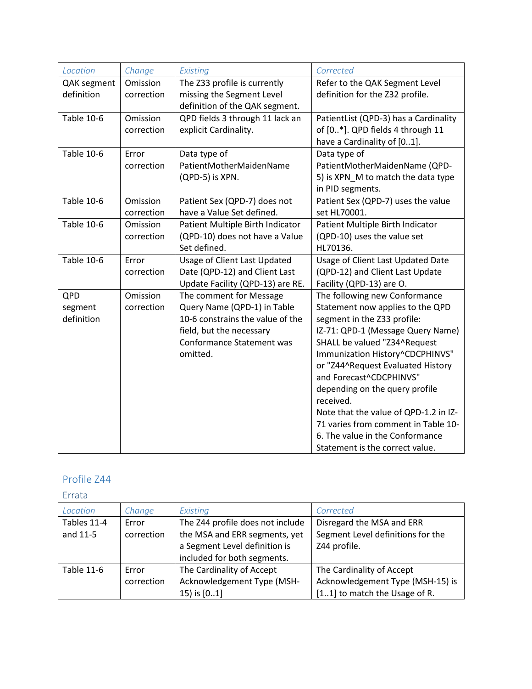| Location          | Change     | Existing                                                     | Corrected                                                       |
|-------------------|------------|--------------------------------------------------------------|-----------------------------------------------------------------|
| QAK segment       | Omission   | The Z33 profile is currently                                 | Refer to the QAK Segment Level                                  |
| definition        | correction | missing the Segment Level                                    | definition for the Z32 profile.                                 |
|                   |            | definition of the QAK segment.                               |                                                                 |
| <b>Table 10-6</b> | Omission   | QPD fields 3 through 11 lack an                              | PatientList (QPD-3) has a Cardinality                           |
|                   | correction | explicit Cardinality.                                        | of [0*]. QPD fields 4 through 11                                |
|                   |            |                                                              | have a Cardinality of [01].                                     |
| <b>Table 10-6</b> | Error      | Data type of                                                 | Data type of                                                    |
|                   | correction | PatientMotherMaidenName                                      | PatientMotherMaidenName (QPD-                                   |
|                   |            | (QPD-5) is XPN.                                              | 5) is XPN_M to match the data type                              |
|                   |            |                                                              | in PID segments.                                                |
| <b>Table 10-6</b> | Omission   | Patient Sex (QPD-7) does not                                 | Patient Sex (QPD-7) uses the value                              |
|                   | correction | have a Value Set defined.                                    | set HL70001.                                                    |
| <b>Table 10-6</b> | Omission   | Patient Multiple Birth Indicator                             | Patient Multiple Birth Indicator                                |
|                   | correction | (QPD-10) does not have a Value                               | (QPD-10) uses the value set                                     |
|                   |            | Set defined.                                                 | HL70136.                                                        |
| <b>Table 10-6</b> | Error      | Usage of Client Last Updated                                 | Usage of Client Last Updated Date                               |
|                   | correction | Date (QPD-12) and Client Last                                | (QPD-12) and Client Last Update                                 |
|                   |            | Update Facility (QPD-13) are RE.                             | Facility (QPD-13) are O.                                        |
| QPD               | Omission   | The comment for Message                                      | The following new Conformance                                   |
| segment           | correction | Query Name (QPD-1) in Table                                  | Statement now applies to the QPD                                |
| definition        |            | 10-6 constrains the value of the                             | segment in the Z33 profile:                                     |
|                   |            | field, but the necessary<br><b>Conformance Statement was</b> | IZ-71: QPD-1 (Message Query Name)                               |
|                   |            | omitted.                                                     | SHALL be valued "Z34^Request<br>Immunization History^CDCPHINVS" |
|                   |            |                                                              | or "Z44^Request Evaluated History                               |
|                   |            |                                                              | and Forecast^CDCPHINVS"                                         |
|                   |            |                                                              | depending on the query profile                                  |
|                   |            |                                                              | received.                                                       |
|                   |            |                                                              | Note that the value of QPD-1.2 in IZ-                           |
|                   |            |                                                              | 71 varies from comment in Table 10-                             |
|                   |            |                                                              | 6. The value in the Conformance                                 |
|                   |            |                                                              | Statement is the correct value.                                 |

| Location                | Change              | Existing                                                                                           | Corrected                                                                      |
|-------------------------|---------------------|----------------------------------------------------------------------------------------------------|--------------------------------------------------------------------------------|
| Tables 11-4<br>and 11-5 | Error<br>correction | The Z44 profile does not include<br>the MSA and ERR segments, yet<br>a Segment Level definition is | Disregard the MSA and ERR<br>Segment Level definitions for the<br>Z44 profile. |
|                         |                     | included for both segments.                                                                        |                                                                                |
| Table 11-6              | Error               | The Cardinality of Accept                                                                          | The Cardinality of Accept                                                      |
|                         | correction          | Acknowledgement Type (MSH-                                                                         | Acknowledgement Type (MSH-15) is                                               |
|                         |                     | 15) is [01]                                                                                        | [11] to match the Usage of R.                                                  |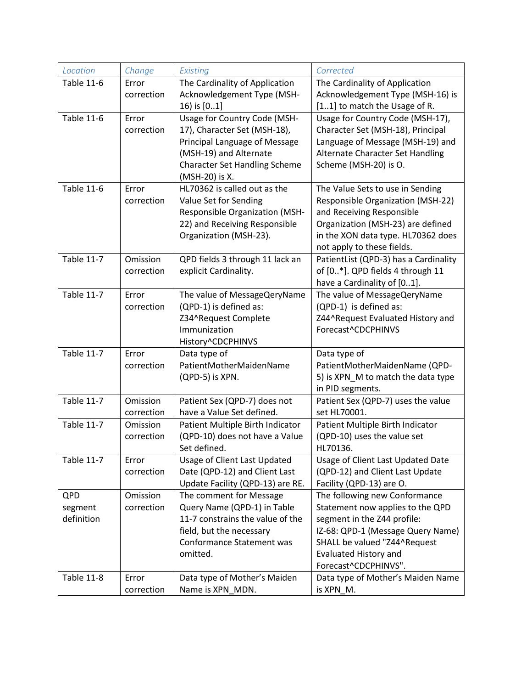| Location          | Change                 | Existing                                                 | Corrected                                                                 |
|-------------------|------------------------|----------------------------------------------------------|---------------------------------------------------------------------------|
| <b>Table 11-6</b> | Error                  | The Cardinality of Application                           | The Cardinality of Application                                            |
|                   | correction             | Acknowledgement Type (MSH-                               | Acknowledgement Type (MSH-16) is                                          |
|                   |                        | 16) is [01]                                              | [11] to match the Usage of R.                                             |
| <b>Table 11-6</b> | Error                  | Usage for Country Code (MSH-                             | Usage for Country Code (MSH-17),                                          |
|                   | correction             | 17), Character Set (MSH-18),                             | Character Set (MSH-18), Principal                                         |
|                   |                        | Principal Language of Message                            | Language of Message (MSH-19) and                                          |
|                   |                        | (MSH-19) and Alternate                                   | Alternate Character Set Handling                                          |
|                   |                        | <b>Character Set Handling Scheme</b>                     | Scheme (MSH-20) is O.                                                     |
|                   |                        | (MSH-20) is X.                                           |                                                                           |
| <b>Table 11-6</b> | Error                  | HL70362 is called out as the                             | The Value Sets to use in Sending                                          |
|                   | correction             | Value Set for Sending                                    | <b>Responsible Organization (MSH-22)</b>                                  |
|                   |                        | Responsible Organization (MSH-                           | and Receiving Responsible                                                 |
|                   |                        | 22) and Receiving Responsible                            | Organization (MSH-23) are defined                                         |
|                   |                        | Organization (MSH-23).                                   | in the XON data type. HL70362 does                                        |
| <b>Table 11-7</b> |                        |                                                          | not apply to these fields.                                                |
|                   | Omission<br>correction | QPD fields 3 through 11 lack an<br>explicit Cardinality. | PatientList (QPD-3) has a Cardinality<br>of [0*]. QPD fields 4 through 11 |
|                   |                        |                                                          | have a Cardinality of [01].                                               |
| <b>Table 11-7</b> | Error                  | The value of MessageQeryName                             | The value of MessageQeryName                                              |
|                   | correction             | (QPD-1) is defined as:                                   | (QPD-1) is defined as:                                                    |
|                   |                        | Z34^Request Complete                                     | Z44^Request Evaluated History and                                         |
|                   |                        | Immunization                                             | Forecast^CDCPHINVS                                                        |
|                   |                        | History^CDCPHINVS                                        |                                                                           |
| <b>Table 11-7</b> | Error                  | Data type of                                             | Data type of                                                              |
|                   | correction             | PatientMotherMaidenName                                  | PatientMotherMaidenName (QPD-                                             |
|                   |                        | (QPD-5) is XPN.                                          | 5) is XPN_M to match the data type                                        |
|                   |                        |                                                          | in PID segments.                                                          |
| <b>Table 11-7</b> | Omission               | Patient Sex (QPD-7) does not                             | Patient Sex (QPD-7) uses the value                                        |
|                   | correction             | have a Value Set defined.                                | set HL70001.                                                              |
| <b>Table 11-7</b> | Omission               | Patient Multiple Birth Indicator                         | Patient Multiple Birth Indicator                                          |
|                   | correction             | (QPD-10) does not have a Value                           | (QPD-10) uses the value set                                               |
|                   |                        | Set defined.                                             | HL70136.                                                                  |
| <b>Table 11-7</b> | Error                  | Usage of Client Last Updated                             | Usage of Client Last Updated Date                                         |
|                   | correction             | Date (QPD-12) and Client Last                            | (QPD-12) and Client Last Update                                           |
|                   |                        | Update Facility (QPD-13) are RE.                         | Facility (QPD-13) are O.                                                  |
| QPD               | Omission               | The comment for Message                                  | The following new Conformance                                             |
| segment           | correction             | Query Name (QPD-1) in Table                              | Statement now applies to the QPD                                          |
| definition        |                        | 11-7 constrains the value of the                         | segment in the Z44 profile:                                               |
|                   |                        | field, but the necessary                                 | IZ-68: QPD-1 (Message Query Name)                                         |
|                   |                        | Conformance Statement was                                | SHALL be valued "Z44^Request                                              |
|                   |                        | omitted.                                                 | <b>Evaluated History and</b>                                              |
| <b>Table 11-8</b> | Error                  |                                                          | Forecast^CDCPHINVS".                                                      |
|                   | correction             | Data type of Mother's Maiden<br>Name is XPN MDN.         | Data type of Mother's Maiden Name<br>is XPN M.                            |
|                   |                        |                                                          |                                                                           |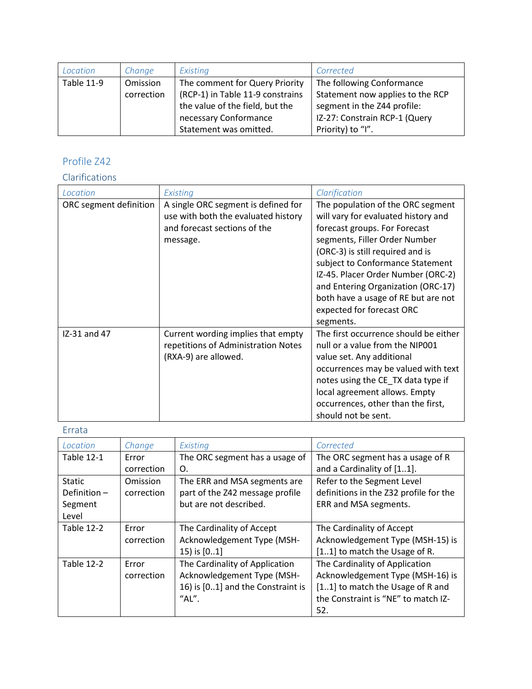| Location          | Change     | Existing                         | Corrected                        |
|-------------------|------------|----------------------------------|----------------------------------|
| <b>Table 11-9</b> | Omission   | The comment for Query Priority   | The following Conformance        |
|                   | correction | (RCP-1) in Table 11-9 constrains | Statement now applies to the RCP |
|                   |            | the value of the field, but the  | segment in the Z44 profile:      |
|                   |            | necessary Conformance            | IZ-27: Constrain RCP-1 (Query    |
|                   |            | Statement was omitted.           | Priority) to "I".                |

## Clarifications

| Location               | Existing                                                                                                               | Clarification                                                                                                                                                                                                                                                                                                                                                                   |
|------------------------|------------------------------------------------------------------------------------------------------------------------|---------------------------------------------------------------------------------------------------------------------------------------------------------------------------------------------------------------------------------------------------------------------------------------------------------------------------------------------------------------------------------|
| ORC segment definition | A single ORC segment is defined for<br>use with both the evaluated history<br>and forecast sections of the<br>message. | The population of the ORC segment<br>will vary for evaluated history and<br>forecast groups. For Forecast<br>segments, Filler Order Number<br>(ORC-3) is still required and is<br>subject to Conformance Statement<br>IZ-45. Placer Order Number (ORC-2)<br>and Entering Organization (ORC-17)<br>both have a usage of RE but are not<br>expected for forecast ORC<br>segments. |
| IZ-31 and 47           | Current wording implies that empty<br>repetitions of Administration Notes<br>(RXA-9) are allowed.                      | The first occurrence should be either<br>null or a value from the NIP001<br>value set. Any additional<br>occurrences may be valued with text<br>notes using the CE_TX data type if<br>local agreement allows. Empty<br>occurrences, other than the first,<br>should not be sent.                                                                                                |

| Location          | Change          | Existing                          | Corrected                              |
|-------------------|-----------------|-----------------------------------|----------------------------------------|
| <b>Table 12-1</b> | Error           | The ORC segment has a usage of    | The ORC segment has a usage of R       |
|                   | correction      | Ο.                                | and a Cardinality of [11].             |
| <b>Static</b>     | <b>Omission</b> | The ERR and MSA segments are      | Refer to the Segment Level             |
| Definition $-$    | correction      | part of the Z42 message profile   | definitions in the Z32 profile for the |
| Segment           |                 | but are not described.            | ERR and MSA segments.                  |
| Level             |                 |                                   |                                        |
| <b>Table 12-2</b> | Error           | The Cardinality of Accept         | The Cardinality of Accept              |
|                   | correction      | Acknowledgement Type (MSH-        | Acknowledgement Type (MSH-15) is       |
|                   |                 | 15) is $[01]$                     | [11] to match the Usage of R.          |
| <b>Table 12-2</b> | Error           | The Cardinality of Application    | The Cardinality of Application         |
|                   | correction      | Acknowledgement Type (MSH-        | Acknowledgement Type (MSH-16) is       |
|                   |                 | 16) is [01] and the Constraint is | [11] to match the Usage of R and       |
|                   |                 | "AL".                             | the Constraint is "NE" to match IZ-    |
|                   |                 |                                   | 52.                                    |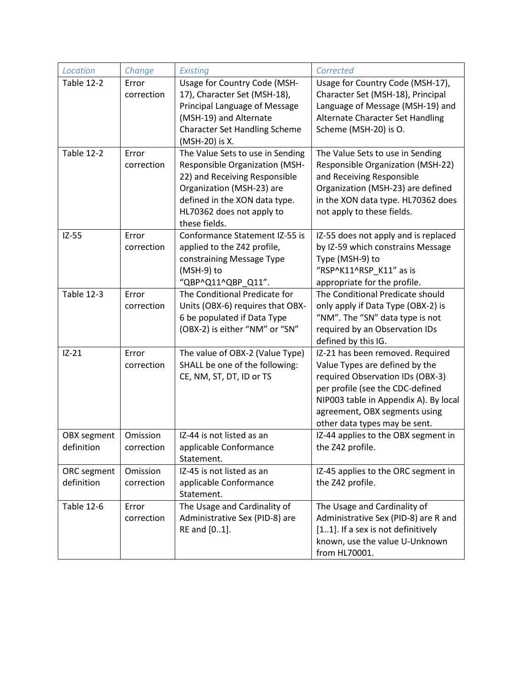| Location                  | Change                 | Existing                                                                                                                                                                                                        | Corrected                                                                                                                                                                                                                                             |
|---------------------------|------------------------|-----------------------------------------------------------------------------------------------------------------------------------------------------------------------------------------------------------------|-------------------------------------------------------------------------------------------------------------------------------------------------------------------------------------------------------------------------------------------------------|
| <b>Table 12-2</b>         | Error<br>correction    | Usage for Country Code (MSH-<br>17), Character Set (MSH-18),<br>Principal Language of Message<br>(MSH-19) and Alternate<br><b>Character Set Handling Scheme</b><br>(MSH-20) is X.                               | Usage for Country Code (MSH-17),<br>Character Set (MSH-18), Principal<br>Language of Message (MSH-19) and<br>Alternate Character Set Handling<br>Scheme (MSH-20) is O.                                                                                |
| Table 12-2                | Error<br>correction    | The Value Sets to use in Sending<br>Responsible Organization (MSH-<br>22) and Receiving Responsible<br>Organization (MSH-23) are<br>defined in the XON data type.<br>HL70362 does not apply to<br>these fields. | The Value Sets to use in Sending<br><b>Responsible Organization (MSH-22)</b><br>and Receiving Responsible<br>Organization (MSH-23) are defined<br>in the XON data type. HL70362 does<br>not apply to these fields.                                    |
| $IZ-55$                   | Error<br>correction    | Conformance Statement IZ-55 is<br>applied to the Z42 profile,<br>constraining Message Type<br>(MSH-9) to<br>"QBP^Q11^QBP_Q11".                                                                                  | IZ-55 does not apply and is replaced<br>by IZ-59 which constrains Message<br>Type (MSH-9) to<br>"RSP^K11^RSP_K11" as is<br>appropriate for the profile.                                                                                               |
| <b>Table 12-3</b>         | Error<br>correction    | The Conditional Predicate for<br>Units (OBX-6) requires that OBX-<br>6 be populated if Data Type<br>(OBX-2) is either "NM" or "SN"                                                                              | The Conditional Predicate should<br>only apply if Data Type (OBX-2) is<br>"NM". The "SN" data type is not<br>required by an Observation IDs<br>defined by this IG.                                                                                    |
| $IZ-21$                   | Error<br>correction    | The value of OBX-2 (Value Type)<br>SHALL be one of the following:<br>CE, NM, ST, DT, ID or TS                                                                                                                   | IZ-21 has been removed. Required<br>Value Types are defined by the<br>required Observation IDs (OBX-3)<br>per profile (see the CDC-defined<br>NIP003 table in Appendix A). By local<br>agreement, OBX segments using<br>other data types may be sent. |
| OBX segment<br>definition | Omission<br>correction | IZ-44 is not listed as an<br>applicable Conformance<br>Statement.                                                                                                                                               | IZ-44 applies to the OBX segment in<br>the Z42 profile.                                                                                                                                                                                               |
| ORC segment<br>definition | Omission<br>correction | IZ-45 is not listed as an<br>applicable Conformance<br>Statement.                                                                                                                                               | IZ-45 applies to the ORC segment in<br>the Z42 profile.                                                                                                                                                                                               |
| <b>Table 12-6</b>         | Error<br>correction    | The Usage and Cardinality of<br>Administrative Sex (PID-8) are<br>RE and [01].                                                                                                                                  | The Usage and Cardinality of<br>Administrative Sex (PID-8) are R and<br>[11]. If a sex is not definitively<br>known, use the value U-Unknown<br>from HL70001.                                                                                         |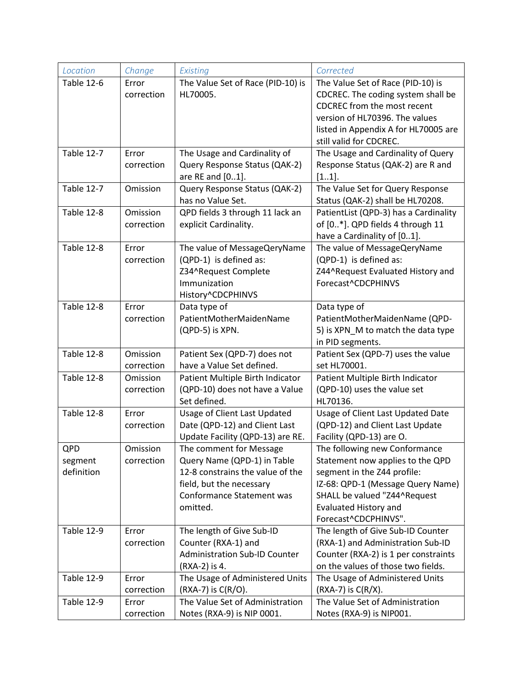| Location          | Change     | Existing                                                    | Corrected                             |
|-------------------|------------|-------------------------------------------------------------|---------------------------------------|
| <b>Table 12-6</b> | Error      | The Value Set of Race (PID-10) is                           | The Value Set of Race (PID-10) is     |
|                   | correction | HL70005.                                                    | CDCREC. The coding system shall be    |
|                   |            |                                                             | <b>CDCREC</b> from the most recent    |
|                   |            |                                                             | version of HL70396. The values        |
|                   |            |                                                             | listed in Appendix A for HL70005 are  |
|                   |            |                                                             | still valid for CDCREC.               |
| <b>Table 12-7</b> | Error      | The Usage and Cardinality of                                | The Usage and Cardinality of Query    |
|                   | correction | Query Response Status (QAK-2)                               | Response Status (QAK-2) are R and     |
|                   |            | are RE and [01].                                            | [11].                                 |
| <b>Table 12-7</b> | Omission   | Query Response Status (QAK-2)                               | The Value Set for Query Response      |
|                   |            | has no Value Set.                                           | Status (QAK-2) shall be HL70208.      |
| <b>Table 12-8</b> | Omission   | QPD fields 3 through 11 lack an                             | PatientList (QPD-3) has a Cardinality |
|                   | correction | explicit Cardinality.                                       | of [0*]. QPD fields 4 through 11      |
|                   |            |                                                             | have a Cardinality of [01].           |
| <b>Table 12-8</b> | Error      | The value of MessageQeryName                                | The value of MessageQeryName          |
|                   | correction | (QPD-1) is defined as:                                      | (QPD-1) is defined as:                |
|                   |            | Z34^Request Complete                                        | Z44^Request Evaluated History and     |
|                   |            | Immunization                                                | Forecast^CDCPHINVS                    |
|                   |            | History^CDCPHINVS                                           |                                       |
| <b>Table 12-8</b> | Error      | Data type of                                                | Data type of                          |
|                   | correction | PatientMotherMaidenName                                     | PatientMotherMaidenName (QPD-         |
|                   |            | (QPD-5) is XPN.                                             | 5) is XPN_M to match the data type    |
|                   |            |                                                             | in PID segments.                      |
| <b>Table 12-8</b> | Omission   | Patient Sex (QPD-7) does not                                | Patient Sex (QPD-7) uses the value    |
|                   | correction | have a Value Set defined.                                   | set HL70001.                          |
| <b>Table 12-8</b> | Omission   | Patient Multiple Birth Indicator                            | Patient Multiple Birth Indicator      |
|                   | correction | (QPD-10) does not have a Value                              | (QPD-10) uses the value set           |
|                   |            | Set defined.                                                | HL70136.                              |
| <b>Table 12-8</b> | Error      | <b>Usage of Client Last Updated</b>                         | Usage of Client Last Updated Date     |
|                   | correction | Date (QPD-12) and Client Last                               | (QPD-12) and Client Last Update       |
|                   |            | Update Facility (QPD-13) are RE.                            | Facility (QPD-13) are O.              |
| QPD               | Omission   | The comment for Message                                     | The following new Conformance         |
| segment           | correction | Query Name (QPD-1) in Table                                 | Statement now applies to the QPD      |
| definition        |            | 12-8 constrains the value of the                            | segment in the Z44 profile:           |
|                   |            | field, but the necessary                                    | IZ-68: QPD-1 (Message Query Name)     |
|                   |            | <b>Conformance Statement was</b>                            | SHALL be valued "Z44^Request          |
|                   |            | omitted.                                                    | <b>Evaluated History and</b>          |
|                   |            |                                                             | Forecast^CDCPHINVS".                  |
| <b>Table 12-9</b> | Error      | The length of Give Sub-ID                                   | The length of Give Sub-ID Counter     |
|                   | correction | Counter (RXA-1) and<br><b>Administration Sub-ID Counter</b> | (RXA-1) and Administration Sub-ID     |
|                   |            |                                                             | Counter (RXA-2) is 1 per constraints  |
|                   |            | (RXA-2) is 4.                                               | on the values of those two fields.    |
| <b>Table 12-9</b> | Error      | The Usage of Administered Units                             | The Usage of Administered Units       |
|                   | correction | (RXA-7) is C(R/O).                                          | $(RXA-7)$ is $C(R/X)$ .               |
| <b>Table 12-9</b> | Error      | The Value Set of Administration                             | The Value Set of Administration       |
|                   | correction | Notes (RXA-9) is NIP 0001.                                  | Notes (RXA-9) is NIP001.              |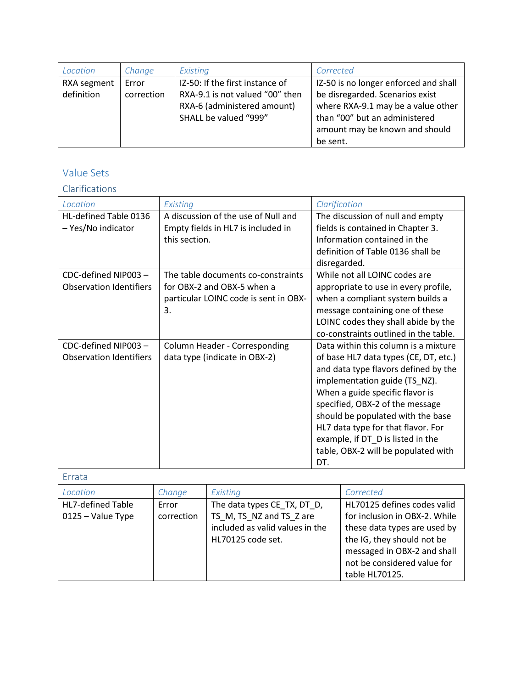| Location    | Change     | Existing                        | Corrected                             |
|-------------|------------|---------------------------------|---------------------------------------|
| RXA segment | Error      | IZ-50: If the first instance of | IZ-50 is no longer enforced and shall |
| definition  | correction | RXA-9.1 is not valued "00" then | be disregarded. Scenarios exist       |
|             |            | RXA-6 (administered amount)     | where RXA-9.1 may be a value other    |
|             |            | SHALL be valued "999"           | than "00" but an administered         |
|             |            |                                 | amount may be known and should        |
|             |            |                                 | be sent.                              |

## Value Sets

## Clarifications

| Location                       | Existing                              | Clarification                         |
|--------------------------------|---------------------------------------|---------------------------------------|
| HL-defined Table 0136          | A discussion of the use of Null and   | The discussion of null and empty      |
| - Yes/No indicator             | Empty fields in HL7 is included in    | fields is contained in Chapter 3.     |
|                                | this section.                         | Information contained in the          |
|                                |                                       | definition of Table 0136 shall be     |
|                                |                                       | disregarded.                          |
| CDC-defined NIP003-            | The table documents co-constraints    | While not all LOINC codes are         |
| <b>Observation Identifiers</b> | for OBX-2 and OBX-5 when a            | appropriate to use in every profile,  |
|                                | particular LOINC code is sent in OBX- | when a compliant system builds a      |
|                                | 3.                                    | message containing one of these       |
|                                |                                       | LOINC codes they shall abide by the   |
|                                |                                       | co-constraints outlined in the table. |
| CDC-defined NIP003-            | Column Header - Corresponding         | Data within this column is a mixture  |
| <b>Observation Identifiers</b> | data type (indicate in OBX-2)         | of base HL7 data types (CE, DT, etc.) |
|                                |                                       | and data type flavors defined by the  |
|                                |                                       | implementation guide (TS NZ).         |
|                                |                                       | When a guide specific flavor is       |
|                                |                                       | specified, OBX-2 of the message       |
|                                |                                       | should be populated with the base     |
|                                |                                       | HL7 data type for that flavor. For    |
|                                |                                       | example, if DT_D is listed in the     |
|                                |                                       | table, OBX-2 will be populated with   |
|                                |                                       | DT.                                   |

| <b>HL7-defined Table</b><br>The data types CE_TX, DT_D,<br>Error<br>$0125 - Value$ Type<br>correction | Location | Change | Existing                 | Corrected                                                                                                                                                  |
|-------------------------------------------------------------------------------------------------------|----------|--------|--------------------------|------------------------------------------------------------------------------------------------------------------------------------------------------------|
| included as valid values in the<br>the IG, they should not be<br>HL70125 code set.<br>table HL70125.  |          |        | TS M, TS NZ and TS Z are | HL70125 defines codes valid<br>for inclusion in OBX-2. While<br>these data types are used by<br>messaged in OBX-2 and shall<br>not be considered value for |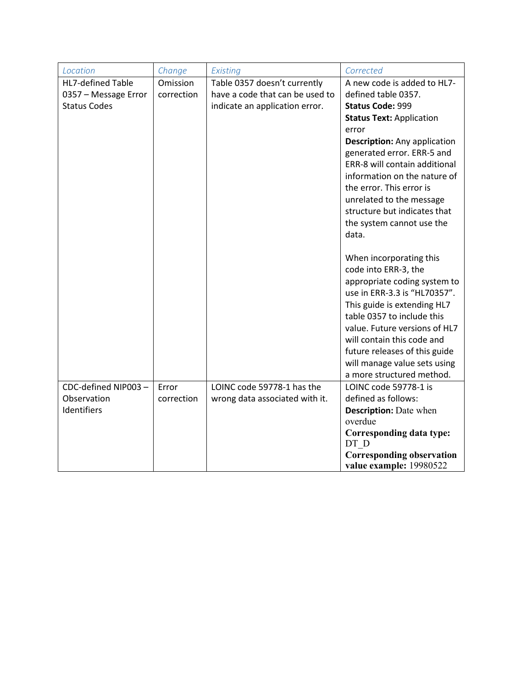| Location                 | Change     | Existing                        | Corrected                                                   |
|--------------------------|------------|---------------------------------|-------------------------------------------------------------|
| <b>HL7-defined Table</b> | Omission   | Table 0357 doesn't currently    | A new code is added to HL7-                                 |
| 0357 - Message Error     | correction | have a code that can be used to | defined table 0357.                                         |
| <b>Status Codes</b>      |            | indicate an application error.  | <b>Status Code: 999</b>                                     |
|                          |            |                                 | <b>Status Text: Application</b>                             |
|                          |            |                                 | error                                                       |
|                          |            |                                 | <b>Description:</b> Any application                         |
|                          |            |                                 | generated error. ERR-5 and                                  |
|                          |            |                                 | ERR-8 will contain additional                               |
|                          |            |                                 | information on the nature of                                |
|                          |            |                                 | the error. This error is                                    |
|                          |            |                                 | unrelated to the message                                    |
|                          |            |                                 | structure but indicates that                                |
|                          |            |                                 | the system cannot use the                                   |
|                          |            |                                 | data.                                                       |
|                          |            |                                 | When incorporating this                                     |
|                          |            |                                 | code into ERR-3, the                                        |
|                          |            |                                 | appropriate coding system to                                |
|                          |            |                                 | use in ERR-3.3 is "HL70357".                                |
|                          |            |                                 | This guide is extending HL7                                 |
|                          |            |                                 | table 0357 to include this                                  |
|                          |            |                                 | value. Future versions of HL7                               |
|                          |            |                                 | will contain this code and                                  |
|                          |            |                                 | future releases of this guide                               |
|                          |            |                                 | will manage value sets using                                |
|                          |            |                                 | a more structured method.                                   |
| CDC-defined NIP003-      | Error      | LOINC code 59778-1 has the      | LOINC code 59778-1 is                                       |
| Observation              | correction | wrong data associated with it.  | defined as follows:                                         |
| Identifiers              |            |                                 | <b>Description:</b> Date when                               |
|                          |            |                                 | overdue                                                     |
|                          |            |                                 | Corresponding data type:                                    |
|                          |            |                                 | DT D                                                        |
|                          |            |                                 | <b>Corresponding observation</b><br>value example: 19980522 |
|                          |            |                                 |                                                             |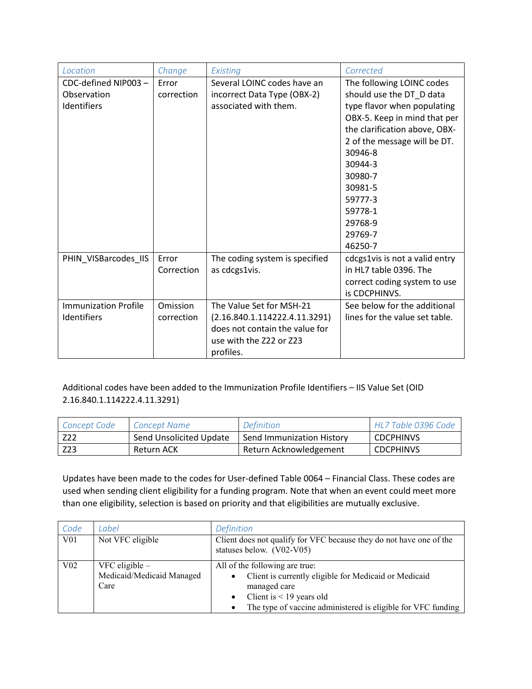| Location                    | Change     | Existing                       | Corrected                      |
|-----------------------------|------------|--------------------------------|--------------------------------|
| CDC-defined NIP003-         | Error      | Several LOINC codes have an    | The following LOINC codes      |
| Observation                 | correction | incorrect Data Type (OBX-2)    | should use the DT_D data       |
| Identifiers                 |            | associated with them.          | type flavor when populating    |
|                             |            |                                | OBX-5. Keep in mind that per   |
|                             |            |                                | the clarification above, OBX-  |
|                             |            |                                | 2 of the message will be DT.   |
|                             |            |                                | 30946-8                        |
|                             |            |                                | 30944-3                        |
|                             |            |                                | 30980-7                        |
|                             |            |                                | 30981-5                        |
|                             |            |                                | 59777-3                        |
|                             |            |                                | 59778-1                        |
|                             |            |                                | 29768-9                        |
|                             |            |                                | 29769-7                        |
|                             |            |                                | 46250-7                        |
| PHIN_VISBarcodes_IIS        | Error      | The coding system is specified | cdcgs1vis is not a valid entry |
|                             | Correction | as cdcgs1vis.                  | in HL7 table 0396. The         |
|                             |            |                                | correct coding system to use   |
|                             |            |                                | is CDCPHINVS.                  |
| <b>Immunization Profile</b> | Omission   | The Value Set for MSH-21       | See below for the additional   |
| Identifiers                 | correction | (2.16.840.1.114222.4.11.3291)  | lines for the value set table. |
|                             |            | does not contain the value for |                                |
|                             |            | use with the Z22 or Z23        |                                |
|                             |            | profiles.                      |                                |

Additional codes have been added to the Immunization Profile Identifiers – IIS Value Set (OID 2.16.840.1.114222.4.11.3291)

| Concept Code | Concept Name            | <b>Definition</b>         | HL7 Table 0396 Code |
|--------------|-------------------------|---------------------------|---------------------|
| Z22          | Send Unsolicited Update | Send Immunization History | <b>CDCPHINVS</b>    |
| 223 -        | Return ACK              | Return Acknowledgement    | <b>CDCPHINVS</b>    |

Updates have been made to the codes for User-defined Table 0064 – Financial Class. These codes are used when sending client eligibility for a funding program. Note that when an event could meet more than one eligibility, selection is based on priority and that eligibilities are mutually exclusive.

| Code            | Label                                                 | Definition                                                                                                                                                                                                                      |  |
|-----------------|-------------------------------------------------------|---------------------------------------------------------------------------------------------------------------------------------------------------------------------------------------------------------------------------------|--|
| V <sub>01</sub> | Not VFC eligible                                      | Client does not qualify for VFC because they do not have one of the<br>statuses below. (V02-V05)                                                                                                                                |  |
| V <sub>02</sub> | VFC eligible $-$<br>Medicaid/Medicaid Managed<br>Care | All of the following are true:<br>Client is currently eligible for Medicaid or Medicaid<br>managed care<br>Client is $<$ 19 years old<br>$\bullet$<br>The type of vaccine administered is eligible for VFC funding<br>$\bullet$ |  |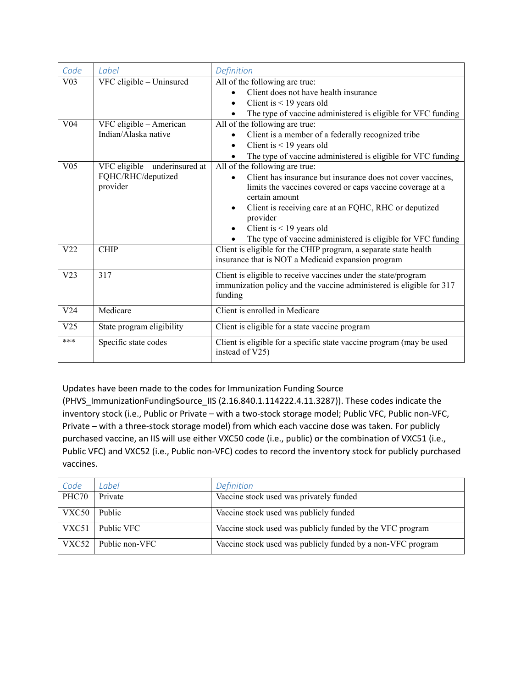| Code            | Label                                                            | Definition                                                                                                                                                                                                                                                                                                                                                                             |  |
|-----------------|------------------------------------------------------------------|----------------------------------------------------------------------------------------------------------------------------------------------------------------------------------------------------------------------------------------------------------------------------------------------------------------------------------------------------------------------------------------|--|
| V <sub>03</sub> | VFC eligible - Uninsured                                         | All of the following are true:<br>Client does not have health insurance<br>Client is $<$ 19 years old<br>$\bullet$<br>The type of vaccine administered is eligible for VFC funding                                                                                                                                                                                                     |  |
| V <sub>04</sub> | VFC eligible - American<br>Indian/Alaska native                  | All of the following are true:<br>Client is a member of a federally recognized tribe<br>Client is $<$ 19 years old<br>$\bullet$<br>The type of vaccine administered is eligible for VFC funding                                                                                                                                                                                        |  |
| V <sub>05</sub> | VFC eligible - underinsured at<br>FQHC/RHC/deputized<br>provider | All of the following are true:<br>Client has insurance but insurance does not cover vaccines,<br>$\bullet$<br>limits the vaccines covered or caps vaccine coverage at a<br>certain amount<br>Client is receiving care at an FQHC, RHC or deputized<br>$\bullet$<br>provider<br>Client is $<$ 19 years old<br>$\bullet$<br>The type of vaccine administered is eligible for VFC funding |  |
| V <sub>22</sub> | <b>CHIP</b>                                                      | Client is eligible for the CHIP program, a separate state health<br>insurance that is NOT a Medicaid expansion program                                                                                                                                                                                                                                                                 |  |
| V <sub>23</sub> | 317                                                              | Client is eligible to receive vaccines under the state/program<br>immunization policy and the vaccine administered is eligible for 317<br>funding                                                                                                                                                                                                                                      |  |
| V24             | Medicare                                                         | Client is enrolled in Medicare                                                                                                                                                                                                                                                                                                                                                         |  |
| V <sub>25</sub> | State program eligibility                                        | Client is eligible for a state vaccine program                                                                                                                                                                                                                                                                                                                                         |  |
| $***$           | Specific state codes                                             | Client is eligible for a specific state vaccine program (may be used<br>instead of V25)                                                                                                                                                                                                                                                                                                |  |

Updates have been made to the codes for Immunization Funding Source

(PHVS\_ImmunizationFundingSource\_IIS (2.16.840.1.114222.4.11.3287)). These codes indicate the inventory stock (i.e., Public or Private – with a two-stock storage model; Public VFC, Public non-VFC, Private – with a three-stock storage model) from which each vaccine dose was taken. For publicly purchased vaccine, an IIS will use either VXC50 code (i.e., public) or the combination of VXC51 (i.e., Public VFC) and VXC52 (i.e., Public non-VFC) codes to record the inventory stock for publicly purchased vaccines.

| Code  | Label          | Definition                                                  |  |
|-------|----------------|-------------------------------------------------------------|--|
| PHC70 | Private        | Vaccine stock used was privately funded                     |  |
| VXC50 | Public         | Vaccine stock used was publicly funded                      |  |
| VXC51 | Public VFC     | Vaccine stock used was publicly funded by the VFC program   |  |
| VXC52 | Public non-VFC | Vaccine stock used was publicly funded by a non-VFC program |  |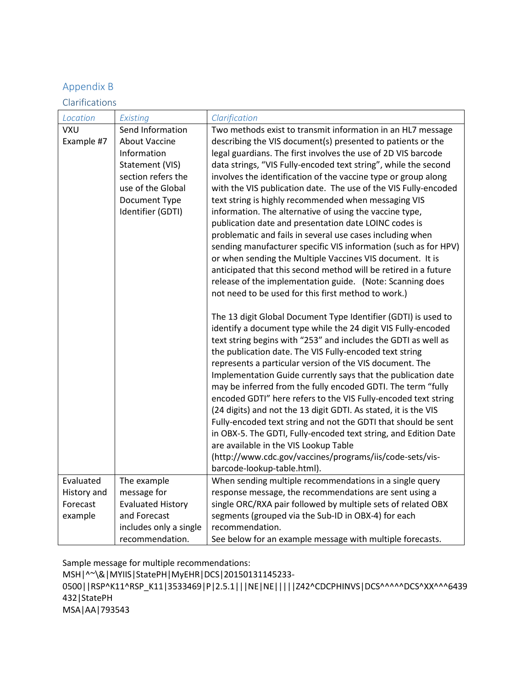### Appendix B

Clarifications

| Location    | Existing                 | Clarification                                                                                                     |  |
|-------------|--------------------------|-------------------------------------------------------------------------------------------------------------------|--|
| VXU         | Send Information         | Two methods exist to transmit information in an HL7 message                                                       |  |
| Example #7  | <b>About Vaccine</b>     | describing the VIS document(s) presented to patients or the                                                       |  |
|             | Information              | legal guardians. The first involves the use of 2D VIS barcode                                                     |  |
|             | Statement (VIS)          | data strings, "VIS Fully-encoded text string", while the second                                                   |  |
|             | section refers the       | involves the identification of the vaccine type or group along                                                    |  |
|             | use of the Global        | with the VIS publication date. The use of the VIS Fully-encoded                                                   |  |
|             | Document Type            | text string is highly recommended when messaging VIS                                                              |  |
|             | Identifier (GDTI)        | information. The alternative of using the vaccine type,                                                           |  |
|             |                          | publication date and presentation date LOINC codes is                                                             |  |
|             |                          | problematic and fails in several use cases including when                                                         |  |
|             |                          | sending manufacturer specific VIS information (such as for HPV)                                                   |  |
|             |                          | or when sending the Multiple Vaccines VIS document. It is                                                         |  |
|             |                          | anticipated that this second method will be retired in a future                                                   |  |
|             |                          | release of the implementation guide. (Note: Scanning does                                                         |  |
|             |                          | not need to be used for this first method to work.)                                                               |  |
|             |                          |                                                                                                                   |  |
|             |                          | The 13 digit Global Document Type Identifier (GDTI) is used to                                                    |  |
|             |                          | identify a document type while the 24 digit VIS Fully-encoded                                                     |  |
|             |                          | text string begins with "253" and includes the GDTI as well as                                                    |  |
|             |                          | the publication date. The VIS Fully-encoded text string                                                           |  |
|             |                          | represents a particular version of the VIS document. The                                                          |  |
|             |                          | Implementation Guide currently says that the publication date                                                     |  |
|             |                          | may be inferred from the fully encoded GDTI. The term "fully                                                      |  |
|             |                          | encoded GDTI" here refers to the VIS Fully-encoded text string                                                    |  |
|             |                          | (24 digits) and not the 13 digit GDTI. As stated, it is the VIS                                                   |  |
|             |                          | Fully-encoded text string and not the GDTI that should be sent                                                    |  |
|             |                          | in OBX-5. The GDTI, Fully-encoded text string, and Edition Date                                                   |  |
|             |                          | are available in the VIS Lookup Table                                                                             |  |
|             |                          | (http://www.cdc.gov/vaccines/programs/iis/code-sets/vis-                                                          |  |
| Evaluated   | The example              | barcode-lookup-table.html).                                                                                       |  |
| History and | message for              | When sending multiple recommendations in a single query<br>response message, the recommendations are sent using a |  |
| Forecast    | <b>Evaluated History</b> | single ORC/RXA pair followed by multiple sets of related OBX                                                      |  |
| example     | and Forecast             | segments (grouped via the Sub-ID in OBX-4) for each                                                               |  |
|             | includes only a single   | recommendation.                                                                                                   |  |
|             | recommendation.          | See below for an example message with multiple forecasts.                                                         |  |

Sample message for multiple recommendations:

MSH|^~\&|MYIIS|StatePH|MyEHR|DCS|20150131145233-

0500||RSP^K11^RSP\_K11|3533469|P|2.5.1|||NE|NE|||||Z42^CDCPHINVS|DCS^^^^^DCS^XX^^^6439 432|StatePH

MSA|AA|793543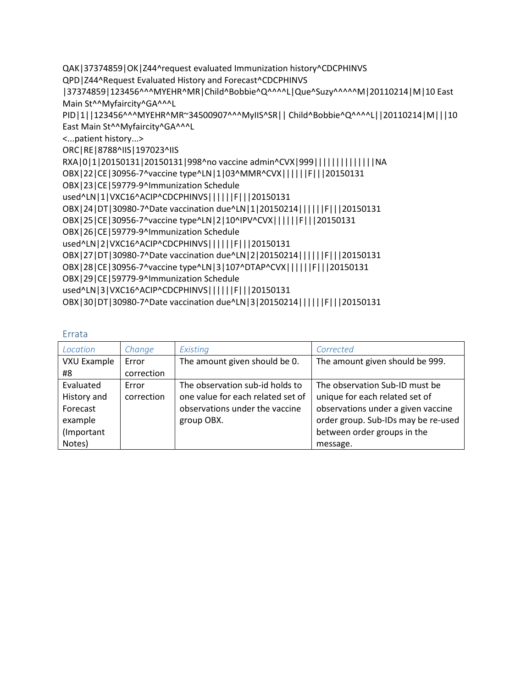QAK|37374859|OK|Z44^request evaluated Immunization history^CDCPHINVS

QPD|Z44^Request Evaluated History and Forecast^CDCPHINVS

|37374859|123456^^^MYEHR^MR|Child^Bobbie^Q^^^^L|Que^Suzy^^^^^M|20110214|M|10 East Main St^^Myfaircity^GA^^^L

PID|1||123456^^^MYEHR^MR~34500907^^^MyIIS^SR|| Child^Bobbie^Q^^^^L||20110214|M|||10 East Main St^^Myfaircity^GA^^^L

<...patient history...>

ORC|RE|8788^IIS|197023^IIS

RXA|0|1|20150131|20150131|998^no vaccine admin^CVX|999|||||||||||||||NA

OBX|22|CE|30956-7^vaccine type^LN|1|03^MMR^CVX||||||F|||20150131

OBX|23|CE|59779-9^Immunization Schedule

used^LN|1|VXC16^ACIP^CDCPHINVS||||||F|||20150131

OBX|24|DT|30980-7^Date vaccination due^LN|1|20150214||||||F|||20150131

OBX|25|CE|30956-7^vaccine type^LN|2|10^IPV^CVX||||||F|||20150131

OBX|26|CE|59779-9^Immunization Schedule

used^LN|2|VXC16^ACIP^CDCPHINVS||||||F|||20150131

OBX|27|DT|30980-7^Date vaccination due^LN|2|20150214||||||F|||20150131

OBX|28|CE|30956-7^vaccine type^LN|3|107^DTAP^CVX||||||F|||20150131

OBX|29|CE|59779-9^Immunization Schedule

used^LN|3|VXC16^ACIP^CDCPHINVS||||||F|||20150131

OBX|30|DT|30980-7^Date vaccination due^LN|3|20150214||||||F|||20150131

| Location    | Change     | Existing                          | Corrected                           |
|-------------|------------|-----------------------------------|-------------------------------------|
| VXU Example | Error      | The amount given should be 0.     | The amount given should be 999.     |
| #8          | correction |                                   |                                     |
| Evaluated   | Error      | The observation sub-id holds to   | The observation Sub-ID must be      |
| History and | correction | one value for each related set of | unique for each related set of      |
| Forecast    |            | observations under the vaccine    | observations under a given vaccine  |
| example     |            | group OBX.                        | order group. Sub-IDs may be re-used |
| (Important  |            |                                   | between order groups in the         |
| Notes)      |            |                                   | message.                            |